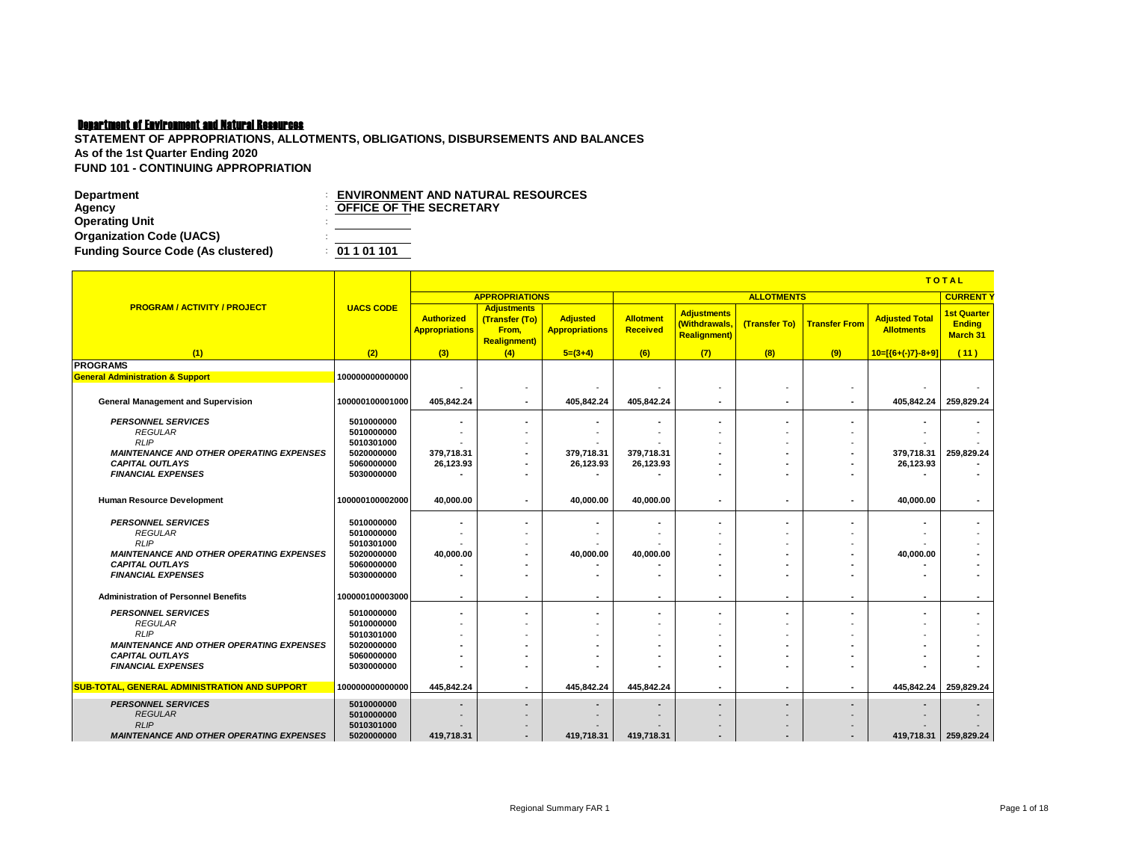## Department of Environment and Natural Resources

**STATEMENT OF APPROPRIATIONS, ALLOTMENTS, OBLIGATIONS, DISBURSEMENTS AND BALANCES As of the 1st Quarter Ending 2020 FUND 101 - CONTINUING APPROPRIATION**

| <b>Department</b>                         | <b>ENVIRONMENT AND NATURAL RESOURCES</b> |
|-------------------------------------------|------------------------------------------|
| Agency                                    | <b>OFFICE OF THE SECRETARY</b>           |
| <b>Operating Unit</b>                     |                                          |
| <b>Organization Code (UACS)</b>           |                                          |
| <b>Funding Source Code (As clustered)</b> | : 01101101                               |

|                                                      |                          |                                            | <b>TOTAL</b>                                                         |                                          |                              |                                                            |                   |                          |                                            |                                                 |
|------------------------------------------------------|--------------------------|--------------------------------------------|----------------------------------------------------------------------|------------------------------------------|------------------------------|------------------------------------------------------------|-------------------|--------------------------|--------------------------------------------|-------------------------------------------------|
|                                                      |                          |                                            | <b>APPROPRIATIONS</b>                                                |                                          |                              |                                                            | <b>ALLOTMENTS</b> |                          |                                            | <b>CURRENT</b>                                  |
| <b>PROGRAM / ACTIVITY / PROJECT</b>                  | <b>UACS CODE</b>         | <b>Authorized</b><br><b>Appropriations</b> | <b>Adjustments</b><br>(Transfer (To)<br>From,<br><b>Realignment)</b> | <b>Adjusted</b><br><b>Appropriations</b> | Allotment<br><b>Received</b> | <b>Adjustments</b><br>(Withdrawals,<br><b>Realignment)</b> | (Transfer To)     | <b>Transfer From</b>     | <b>Adjusted Total</b><br><b>Allotments</b> | <b>1st Quarter</b><br><b>Ending</b><br>March 31 |
| (1)                                                  | (2)                      | (3)                                        | (4)                                                                  | $5=(3+4)$                                | (6)                          | (7)                                                        | (8)               | (9)                      | $10=[(6+(-7)-8+9)]$                        | (11)                                            |
| <b>PROGRAMS</b>                                      |                          |                                            |                                                                      |                                          |                              |                                                            |                   |                          |                                            |                                                 |
| <b>General Administration &amp; Support</b>          | 100000000000000          |                                            |                                                                      |                                          |                              |                                                            |                   |                          |                                            |                                                 |
|                                                      |                          |                                            |                                                                      |                                          |                              | ٠                                                          |                   | $\overline{\phantom{a}}$ |                                            |                                                 |
| <b>General Management and Supervision</b>            | 100000100001000          | 405.842.24                                 |                                                                      | 405.842.24                               | 405.842.24                   | $\blacksquare$                                             |                   | $\overline{\phantom{a}}$ |                                            | 405,842.24 259,829.24                           |
| <b>PERSONNEL SERVICES</b>                            | 5010000000               |                                            |                                                                      |                                          |                              | ٠                                                          |                   | $\overline{\phantom{a}}$ |                                            |                                                 |
| <b>REGULAR</b>                                       | 5010000000               |                                            |                                                                      |                                          |                              |                                                            |                   |                          |                                            |                                                 |
| <b>RLIP</b>                                          | 5010301000               |                                            |                                                                      |                                          |                              |                                                            |                   |                          |                                            |                                                 |
| <b>MAINTENANCE AND OTHER OPERATING EXPENSES</b>      | 5020000000               | 379.718.31                                 | $\overline{\phantom{a}}$                                             | 379,718.31                               | 379,718.31                   | ٠                                                          |                   | $\blacksquare$           | 379,718.31                                 | 259,829.24                                      |
| <b>CAPITAL OUTLAYS</b>                               | 5060000000               | 26,123.93                                  | $\overline{\phantom{a}}$                                             | 26,123.93                                | 26,123.93                    |                                                            |                   |                          | 26,123.93                                  |                                                 |
| <b>FINANCIAL EXPENSES</b>                            | 5030000000               |                                            |                                                                      | $\blacksquare$                           |                              | ۰                                                          |                   |                          |                                            |                                                 |
|                                                      |                          |                                            |                                                                      |                                          |                              |                                                            |                   |                          |                                            |                                                 |
| <b>Human Resource Development</b>                    | 100000100002000          | 40.000.00                                  |                                                                      | 40.000.00                                | 40.000.00                    | ٠                                                          | ٠                 | ٠                        | 40.000.00                                  |                                                 |
| <b>PERSONNEL SERVICES</b>                            |                          |                                            |                                                                      |                                          |                              |                                                            |                   |                          |                                            |                                                 |
| <b>REGULAR</b>                                       | 5010000000<br>5010000000 |                                            |                                                                      |                                          |                              |                                                            |                   |                          |                                            |                                                 |
| <b>RLIP</b>                                          | 5010301000               |                                            |                                                                      | $\overline{\phantom{a}}$                 |                              |                                                            |                   | $\overline{\phantom{a}}$ |                                            |                                                 |
| <b>MAINTENANCE AND OTHER OPERATING EXPENSES</b>      | 5020000000               | 40,000.00                                  |                                                                      | 40.000.00                                | 40.000.00                    |                                                            |                   |                          | 40.000.00                                  |                                                 |
| <b>CAPITAL OUTLAYS</b>                               | 5060000000               |                                            |                                                                      |                                          |                              |                                                            |                   |                          |                                            |                                                 |
| <b>FINANCIAL EXPENSES</b>                            | 5030000000               |                                            |                                                                      |                                          | ۰                            | ٠                                                          |                   |                          |                                            |                                                 |
|                                                      |                          |                                            |                                                                      |                                          |                              |                                                            |                   |                          |                                            |                                                 |
| <b>Administration of Personnel Benefits</b>          | 100000100003000          |                                            | ٠                                                                    | ٠                                        | ۰                            | $\blacksquare$                                             | ٠                 | $\blacksquare$           | ٠                                          | $\blacksquare$                                  |
| <b>PERSONNEL SERVICES</b>                            | 5010000000               |                                            |                                                                      |                                          | ٠                            | ٠                                                          |                   | $\blacksquare$           |                                            |                                                 |
| <b>REGULAR</b>                                       | 5010000000               |                                            |                                                                      |                                          | ۰                            |                                                            |                   |                          |                                            |                                                 |
| <b>RLIP</b>                                          | 5010301000               |                                            |                                                                      |                                          |                              |                                                            |                   |                          |                                            |                                                 |
| <b>MAINTENANCE AND OTHER OPERATING EXPENSES</b>      | 5020000000               |                                            |                                                                      |                                          |                              |                                                            |                   |                          |                                            |                                                 |
| <b>CAPITAL OUTLAYS</b><br><b>FINANCIAL EXPENSES</b>  | 5060000000<br>5030000000 |                                            |                                                                      |                                          |                              | ٠                                                          |                   |                          |                                            |                                                 |
|                                                      |                          |                                            |                                                                      |                                          |                              |                                                            |                   |                          |                                            |                                                 |
| <b>SUB-TOTAL, GENERAL ADMINISTRATION AND SUPPORT</b> | 100000000000000          | 445.842.24                                 |                                                                      | 445.842.24                               | 445.842.24                   | $\overline{\phantom{a}}$                                   | ٠                 | $\overline{\phantom{a}}$ |                                            | 445.842.24 259.829.24                           |
| <b>PERSONNEL SERVICES</b>                            | 5010000000               |                                            |                                                                      |                                          |                              | ٠                                                          | $\blacksquare$    | $\overline{\phantom{a}}$ |                                            |                                                 |
| <b>REGULAR</b>                                       | 5010000000               |                                            |                                                                      |                                          |                              |                                                            |                   |                          |                                            |                                                 |
| RLIP                                                 | 5010301000               |                                            |                                                                      |                                          |                              |                                                            |                   |                          |                                            |                                                 |
| <b>MAINTENANCE AND OTHER OPERATING EXPENSES</b>      | 5020000000               | 419.718.31                                 | $\overline{\phantom{a}}$                                             | 419.718.31                               | 419.718.31                   |                                                            |                   |                          |                                            | 419,718.31 259,829.24                           |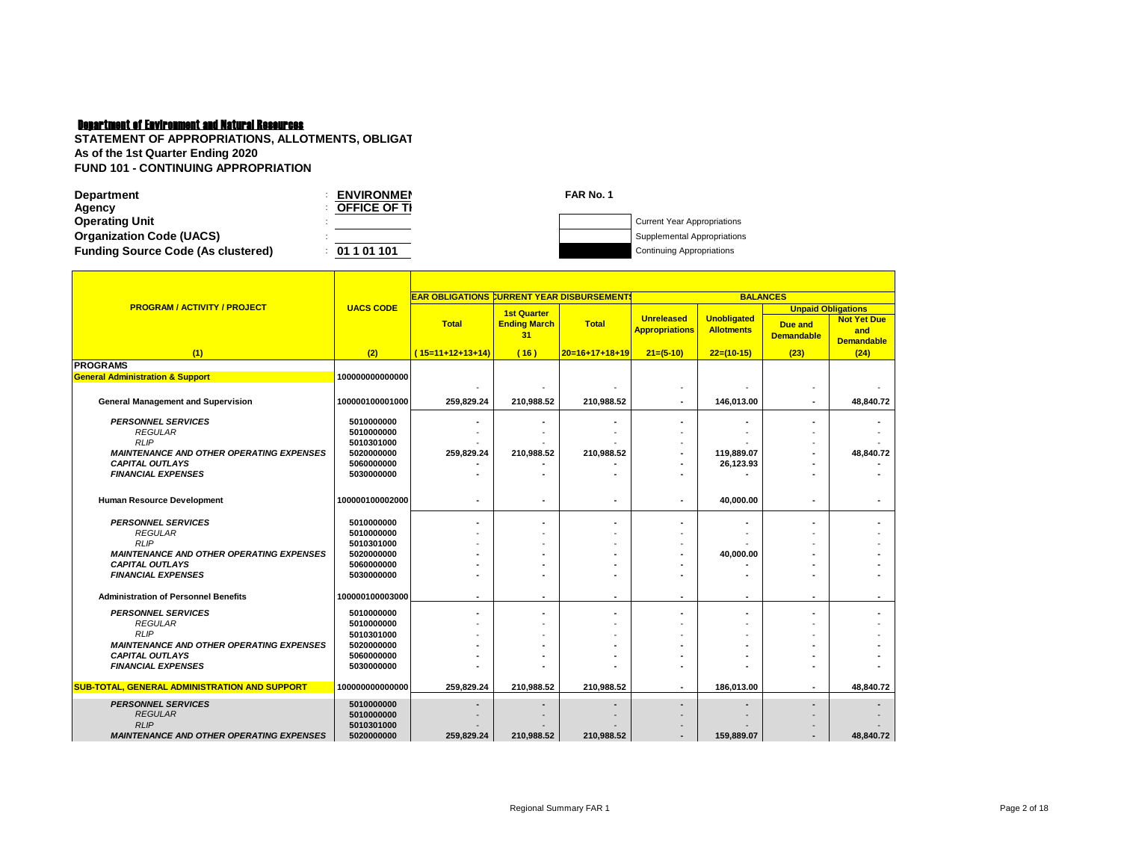# Department of Environment and Natural Resources

| <b>Department</b>                         | <b>ENVIRONMEN</b>   | FAR No. 1 |                                    |
|-------------------------------------------|---------------------|-----------|------------------------------------|
| Agency                                    | <b>OFFICE OF TI</b> |           |                                    |
| <b>Operating Unit</b>                     |                     |           | <b>Current Year Appropriations</b> |
| <b>Organization Code (UACS)</b>           |                     |           | Supplemental Appropriations        |
| <b>Funding Source Code (As clustered)</b> | 01101101            |           | <b>Continuing Appropriations</b>   |

|                                                      |                          | <b>EAR OBLIGATIONS CURRENT YEAR DISBURSEMENT!</b> |                                                 |                  |                                            | <b>BALANCES</b>                         |                                                           |                                                |
|------------------------------------------------------|--------------------------|---------------------------------------------------|-------------------------------------------------|------------------|--------------------------------------------|-----------------------------------------|-----------------------------------------------------------|------------------------------------------------|
| <b>PROGRAM / ACTIVITY / PROJECT</b>                  | <b>UACS CODE</b>         | <b>Total</b>                                      | <b>1st Quarter</b><br><b>Ending March</b><br>31 | <b>Total</b>     | <b>Unreleased</b><br><b>Appropriations</b> | <b>Unobligated</b><br><b>Allotments</b> | <b>Unpaid Obligations</b><br>Due and<br><b>Demandable</b> | <b>Not Yet Due</b><br>and<br><b>Demandable</b> |
| (1)                                                  | (2)                      | $(15=11+12+13+14)$                                | (16)                                            | $20=16+17+18+19$ | $21=(5-10)$                                | $22=(10-15)$                            | (23)                                                      | (24)                                           |
| <b>PROGRAMS</b>                                      |                          |                                                   |                                                 |                  |                                            |                                         |                                                           |                                                |
| <b>General Administration &amp; Support</b>          | 100000000000000          |                                                   |                                                 |                  |                                            |                                         |                                                           |                                                |
|                                                      |                          |                                                   |                                                 |                  |                                            |                                         |                                                           |                                                |
| <b>General Management and Supervision</b>            | 100000100001000          | 259,829.24                                        | 210,988.52                                      | 210,988.52       |                                            | 146,013.00                              |                                                           | 48,840.72                                      |
| <b>PERSONNEL SERVICES</b>                            | 5010000000               |                                                   |                                                 |                  |                                            |                                         |                                                           |                                                |
| <b>REGULAR</b>                                       | 5010000000               |                                                   |                                                 |                  |                                            |                                         |                                                           |                                                |
| <b>RLIP</b>                                          | 5010301000               |                                                   |                                                 |                  |                                            |                                         |                                                           |                                                |
| <b>MAINTENANCE AND OTHER OPERATING EXPENSES</b>      | 5020000000               | 259,829.24                                        | 210,988.52                                      | 210,988.52       |                                            | 119,889.07                              |                                                           | 48,840.72                                      |
| <b>CAPITAL OUTLAYS</b>                               | 5060000000               |                                                   |                                                 |                  |                                            | 26,123.93                               |                                                           |                                                |
| <b>FINANCIAL EXPENSES</b>                            | 5030000000               |                                                   |                                                 |                  |                                            |                                         |                                                           |                                                |
|                                                      |                          |                                                   |                                                 |                  |                                            |                                         |                                                           |                                                |
| <b>Human Resource Development</b>                    | 100000100002000          |                                                   |                                                 |                  |                                            | 40,000.00                               |                                                           |                                                |
|                                                      |                          |                                                   |                                                 |                  |                                            |                                         |                                                           |                                                |
| <b>PERSONNEL SERVICES</b>                            | 5010000000               |                                                   |                                                 |                  |                                            |                                         |                                                           |                                                |
| <b>REGULAR</b><br><b>RLIP</b>                        | 5010000000               |                                                   |                                                 |                  |                                            |                                         |                                                           |                                                |
| <b>MAINTENANCE AND OTHER OPERATING EXPENSES</b>      | 5010301000<br>5020000000 |                                                   |                                                 |                  |                                            | 40,000.00                               |                                                           |                                                |
| <b>CAPITAL OUTLAYS</b>                               | 5060000000               |                                                   |                                                 |                  |                                            |                                         |                                                           |                                                |
| <b>FINANCIAL EXPENSES</b>                            | 5030000000               |                                                   |                                                 |                  |                                            |                                         |                                                           |                                                |
|                                                      |                          |                                                   |                                                 |                  |                                            |                                         |                                                           |                                                |
| <b>Administration of Personnel Benefits</b>          | 100000100003000          | $\blacksquare$                                    | ٠                                               | ٠                | $\overline{\phantom{a}}$                   | ٠                                       | $\overline{\phantom{a}}$                                  | $\blacksquare$                                 |
| <b>PERSONNEL SERVICES</b>                            | 5010000000               |                                                   |                                                 |                  |                                            |                                         |                                                           |                                                |
| <b>REGULAR</b>                                       | 5010000000               |                                                   |                                                 |                  |                                            |                                         |                                                           |                                                |
| <b>RLIP</b>                                          | 5010301000               |                                                   |                                                 |                  |                                            |                                         |                                                           |                                                |
| <b>MAINTENANCE AND OTHER OPERATING EXPENSES</b>      | 5020000000               |                                                   |                                                 |                  |                                            |                                         |                                                           |                                                |
| <b>CAPITAL OUTLAYS</b>                               | 5060000000               |                                                   |                                                 |                  |                                            |                                         |                                                           |                                                |
| <b>FINANCIAL EXPENSES</b>                            | 5030000000               |                                                   |                                                 |                  |                                            |                                         |                                                           |                                                |
| <b>SUB-TOTAL, GENERAL ADMINISTRATION AND SUPPORT</b> | 100000000000000          | 259,829.24                                        | 210,988.52                                      | 210,988.52       |                                            | 186,013.00                              |                                                           | 48,840.72                                      |
|                                                      |                          |                                                   |                                                 |                  |                                            |                                         |                                                           |                                                |
| <b>PERSONNEL SERVICES</b>                            | 5010000000               |                                                   |                                                 |                  |                                            |                                         |                                                           |                                                |
| <b>REGULAR</b>                                       | 5010000000               |                                                   |                                                 |                  |                                            |                                         |                                                           |                                                |
| <b>RLIP</b>                                          | 5010301000               |                                                   |                                                 |                  |                                            |                                         |                                                           |                                                |
| <b>MAINTENANCE AND OTHER OPERATING EXPENSES</b>      | 5020000000               | 259.829.24                                        | 210,988.52                                      | 210.988.52       |                                            | 159,889.07                              |                                                           | 48.840.72                                      |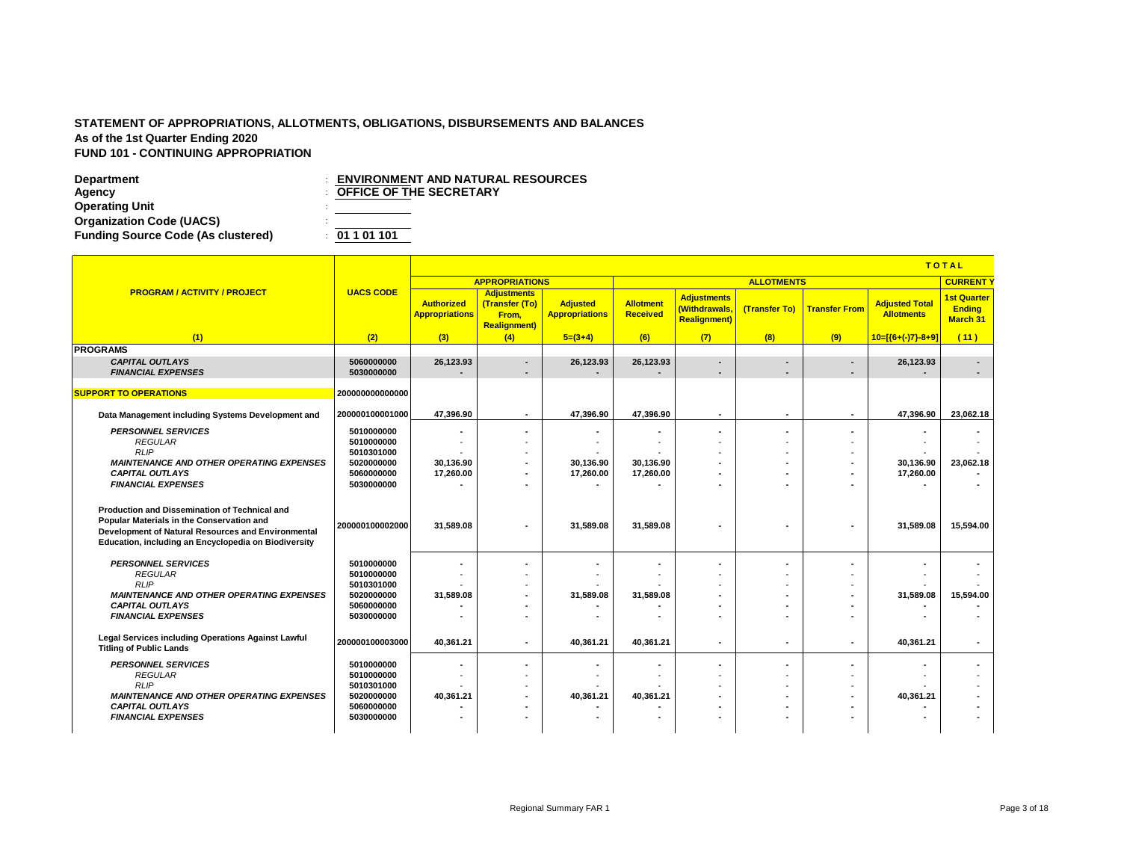|                                                                                                                                                                                                                 |                                                      |                                            | <b>TOTAL</b>                                                          |                                          |                              |                                                            |                   |                                            |                                            |                                                        |
|-----------------------------------------------------------------------------------------------------------------------------------------------------------------------------------------------------------------|------------------------------------------------------|--------------------------------------------|-----------------------------------------------------------------------|------------------------------------------|------------------------------|------------------------------------------------------------|-------------------|--------------------------------------------|--------------------------------------------|--------------------------------------------------------|
|                                                                                                                                                                                                                 |                                                      |                                            | <b>APPROPRIATIONS</b>                                                 |                                          |                              |                                                            | <b>ALLOTMENTS</b> |                                            |                                            | <b>CURRENT</b>                                         |
| <b>PROGRAM / ACTIVITY / PROJECT</b>                                                                                                                                                                             | <b>UACS CODE</b>                                     | <b>Authorized</b><br><b>Appropriations</b> | <b>Adjustments</b><br>(Transfer (To)<br>From,<br><b>Realignment</b> ) | <b>Adjusted</b><br><b>Appropriations</b> | <b>Allotment</b><br>Received | <b>Adjustments</b><br>(Withdrawals,<br><b>Realignment)</b> | (Transfer To)     | <b>Transfer From</b>                       | <b>Adjusted Total</b><br><b>Allotments</b> | <b>1st Quarter</b><br><b>Ending</b><br><b>March 31</b> |
| (1)                                                                                                                                                                                                             | (2)                                                  | (3)                                        | (4)                                                                   | $5=(3+4)$                                | (6)                          | (7)                                                        | (8)               | (9)                                        | $10=[(6+(-7)-8+9)]$                        | (11)                                                   |
| <b>PROGRAMS</b><br><b>CAPITAL OUTLAYS</b><br><b>FINANCIAL EXPENSES</b>                                                                                                                                          | 5060000000<br>5030000000                             | 26,123.93                                  | $\overline{\phantom{0}}$                                              | 26,123.93                                | 26,123.93                    | ٠<br>$\overline{\phantom{a}}$                              | ٠                 | $\blacksquare$<br>$\overline{\phantom{a}}$ | 26,123.93                                  |                                                        |
| <b>SUPPORT TO OPERATIONS</b>                                                                                                                                                                                    | 200000000000000                                      |                                            |                                                                       |                                          |                              |                                                            |                   |                                            |                                            |                                                        |
| Data Management including Systems Development and                                                                                                                                                               | 200000100001000                                      | 47,396.90                                  | $\blacksquare$                                                        | 47.396.90                                | 47,396.90                    | $\sim$                                                     | $\sim$            | $\sim$                                     | 47,396.90                                  | 23,062.18                                              |
| <b>PERSONNEL SERVICES</b><br><b>REGULAR</b><br>RLIP                                                                                                                                                             | 5010000000<br>5010000000<br>5010301000               |                                            | ۰                                                                     |                                          |                              | ۰                                                          | ٠                 | $\sim$                                     |                                            |                                                        |
| <b>MAINTENANCE AND OTHER OPERATING EXPENSES</b><br><b>CAPITAL OUTLAYS</b><br><b>FINANCIAL EXPENSES</b>                                                                                                          | 5020000000<br>5060000000<br>5030000000               | 30,136.90<br>17,260.00                     | ٠                                                                     | 30,136.90<br>17,260.00                   | 30,136.90<br>17,260.00       | ۰                                                          | ٠                 | $\overline{\phantom{a}}$                   | 30,136.90<br>17,260.00                     | 23,062.18                                              |
| <b>Production and Dissemination of Technical and</b><br>Popular Materials in the Conservation and<br>Development of Natural Resources and Environmental<br>Education, including an Encyclopedia on Biodiversity | 200000100002000                                      | 31,589.08                                  |                                                                       | 31,589.08                                | 31,589.08                    |                                                            |                   |                                            | 31,589.08                                  | 15,594.00                                              |
| <b>PERSONNEL SERVICES</b><br><b>REGULAR</b>                                                                                                                                                                     | 5010000000<br>5010000000                             |                                            |                                                                       |                                          |                              |                                                            |                   |                                            |                                            |                                                        |
| <b>RLIP</b><br><b>MAINTENANCE AND OTHER OPERATING EXPENSES</b><br><b>CAPITAL OUTLAYS</b><br><b>FINANCIAL EXPENSES</b>                                                                                           | 5010301000<br>5020000000<br>5060000000<br>5030000000 | 31,589.08                                  | $\overline{\phantom{a}}$<br>$\blacksquare$<br>٠                       | 31,589.08                                | 31.589.08                    | ٠                                                          | ٠                 | $\overline{\phantom{a}}$                   | 31,589.08                                  | 15,594.00                                              |
| Legal Services including Operations Against Lawful<br><b>Titling of Public Lands</b>                                                                                                                            | 200000100003000                                      | 40.361.21                                  | ۰                                                                     | 40.361.21                                | 40.361.21                    | ٠                                                          | ٠                 | $\sim$                                     | 40.361.21                                  | $\blacksquare$                                         |
| <b>PERSONNEL SERVICES</b><br><b>REGULAR</b>                                                                                                                                                                     | 5010000000<br>5010000000                             |                                            |                                                                       |                                          |                              | ۰<br>$\overline{\phantom{a}}$                              |                   | $\overline{\phantom{a}}$                   |                                            |                                                        |
| <b>RLIP</b><br><b>MAINTENANCE AND OTHER OPERATING EXPENSES</b><br><b>CAPITAL OUTLAYS</b>                                                                                                                        | 5010301000<br>5020000000<br>5060000000               | 40,361.21                                  | ٠<br>٠                                                                | 40,361.21                                | 40,361.21                    | ٠<br>۰                                                     |                   |                                            | 40,361.21                                  |                                                        |
| <b>FINANCIAL EXPENSES</b>                                                                                                                                                                                       | 5030000000                                           |                                            |                                                                       |                                          |                              |                                                            |                   |                                            |                                            |                                                        |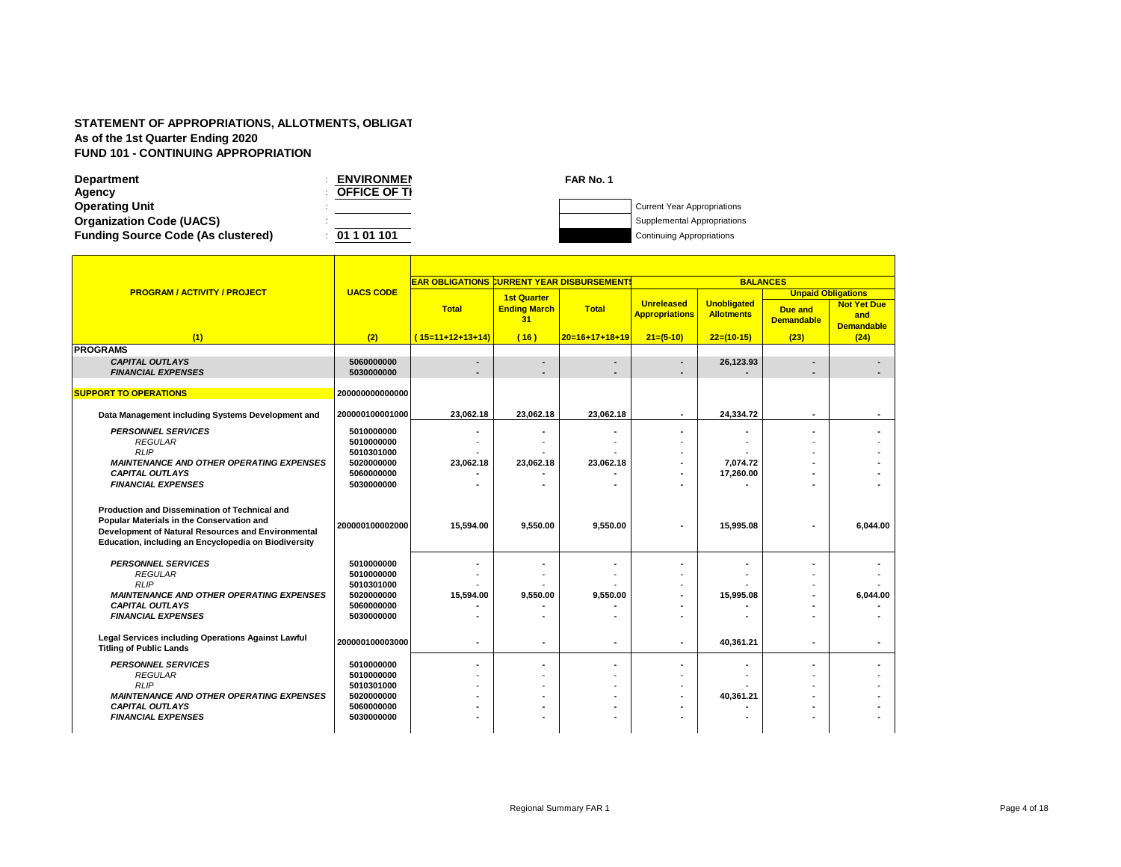| <b>Department</b>                         | <b>ENVIRONMEN</b>   | FAR No. 1 |                                    |
|-------------------------------------------|---------------------|-----------|------------------------------------|
| Agency                                    | <b>OFFICE OF TI</b> |           |                                    |
| <b>Operating Unit</b>                     |                     |           | <b>Current Year Appropriations</b> |
| <b>Organization Code (UACS)</b>           |                     |           | Supplemental Appropriations        |
| <b>Funding Source Code (As clustered)</b> | 01 1 01 101         |           | <b>Continuing Appropriations</b>   |

|                                                                                                                                                                                                                 |                                        | <b>EAR OBLIGATIONS CURRENT YEAR DISBURSEMENT</b> |                                                 |                  |                                            | <b>BALANCES</b>                         |                                                                  |                                                |  |  |  |
|-----------------------------------------------------------------------------------------------------------------------------------------------------------------------------------------------------------------|----------------------------------------|--------------------------------------------------|-------------------------------------------------|------------------|--------------------------------------------|-----------------------------------------|------------------------------------------------------------------|------------------------------------------------|--|--|--|
| <b>PROGRAM / ACTIVITY / PROJECT</b>                                                                                                                                                                             | <b>UACS CODE</b>                       | <b>Total</b>                                     | <b>1st Quarter</b><br><b>Ending March</b><br>31 | <b>Total</b>     | <b>Unreleased</b><br><b>Appropriations</b> | <b>Unobligated</b><br><b>Allotments</b> | <b>Unpaid Obligations</b><br><b>Due and</b><br><b>Demandable</b> | <b>Not Yet Due</b><br>and<br><b>Demandable</b> |  |  |  |
| (1)                                                                                                                                                                                                             | (2)                                    | $(15=11+12+13+14)$                               | (16)                                            | $20=16+17+18+19$ | $21=(5-10)$                                | $22=(10-15)$                            | (23)                                                             | (24)                                           |  |  |  |
| <b>PROGRAMS</b>                                                                                                                                                                                                 |                                        |                                                  |                                                 |                  |                                            |                                         |                                                                  |                                                |  |  |  |
| <b>CAPITAL OUTLAYS</b><br><b>FINANCIAL EXPENSES</b>                                                                                                                                                             | 5060000000<br>5030000000               |                                                  |                                                 |                  |                                            | 26,123.93                               |                                                                  |                                                |  |  |  |
| <b>SUPPORT TO OPERATIONS</b>                                                                                                                                                                                    | 200000000000000                        |                                                  |                                                 |                  |                                            |                                         |                                                                  |                                                |  |  |  |
| Data Management including Systems Development and                                                                                                                                                               | 200000100001000                        | 23,062.18                                        | 23,062.18                                       | 23,062.18        |                                            | 24,334.72                               |                                                                  |                                                |  |  |  |
| <b>PERSONNEL SERVICES</b><br><b>REGULAR</b><br><b>RLIP</b>                                                                                                                                                      | 5010000000<br>5010000000<br>5010301000 |                                                  |                                                 |                  |                                            |                                         |                                                                  |                                                |  |  |  |
| <b>MAINTENANCE AND OTHER OPERATING EXPENSES</b><br><b>CAPITAL OUTLAYS</b><br><b>FINANCIAL EXPENSES</b>                                                                                                          | 5020000000<br>5060000000<br>5030000000 | 23,062.18                                        | 23,062.18                                       | 23,062.18        |                                            | 7.074.72<br>17,260.00                   |                                                                  |                                                |  |  |  |
| <b>Production and Dissemination of Technical and</b><br>Popular Materials in the Conservation and<br>Development of Natural Resources and Environmental<br>Education, including an Encyclopedia on Biodiversity | 200000100002000                        | 15,594.00                                        | 9,550.00                                        | 9,550.00         |                                            | 15,995.08                               |                                                                  | 6,044.00                                       |  |  |  |
| <b>PERSONNEL SERVICES</b><br><b>REGULAR</b><br><b>RLIP</b>                                                                                                                                                      | 5010000000<br>5010000000<br>5010301000 |                                                  |                                                 |                  |                                            |                                         |                                                                  |                                                |  |  |  |
| <b>MAINTENANCE AND OTHER OPERATING EXPENSES</b><br><b>CAPITAL OUTLAYS</b><br><b>FINANCIAL EXPENSES</b>                                                                                                          | 5020000000<br>5060000000<br>5030000000 | 15,594.00                                        | 9,550.00                                        | 9,550.00         |                                            | 15.995.08                               |                                                                  | 6,044.00                                       |  |  |  |
| Legal Services including Operations Against Lawful<br><b>Titling of Public Lands</b>                                                                                                                            | 200000100003000                        |                                                  |                                                 |                  |                                            | 40,361.21                               |                                                                  |                                                |  |  |  |
| <b>PERSONNEL SERVICES</b><br><b>REGULAR</b><br><b>RLIP</b>                                                                                                                                                      | 5010000000<br>5010000000<br>5010301000 |                                                  |                                                 |                  |                                            |                                         |                                                                  |                                                |  |  |  |
| <b>MAINTENANCE AND OTHER OPERATING EXPENSES</b><br><b>CAPITAL OUTLAYS</b><br><b>FINANCIAL EXPENSES</b>                                                                                                          | 5020000000<br>5060000000<br>5030000000 |                                                  |                                                 |                  |                                            | 40.361.21                               |                                                                  |                                                |  |  |  |
|                                                                                                                                                                                                                 |                                        |                                                  |                                                 |                  |                                            |                                         |                                                                  |                                                |  |  |  |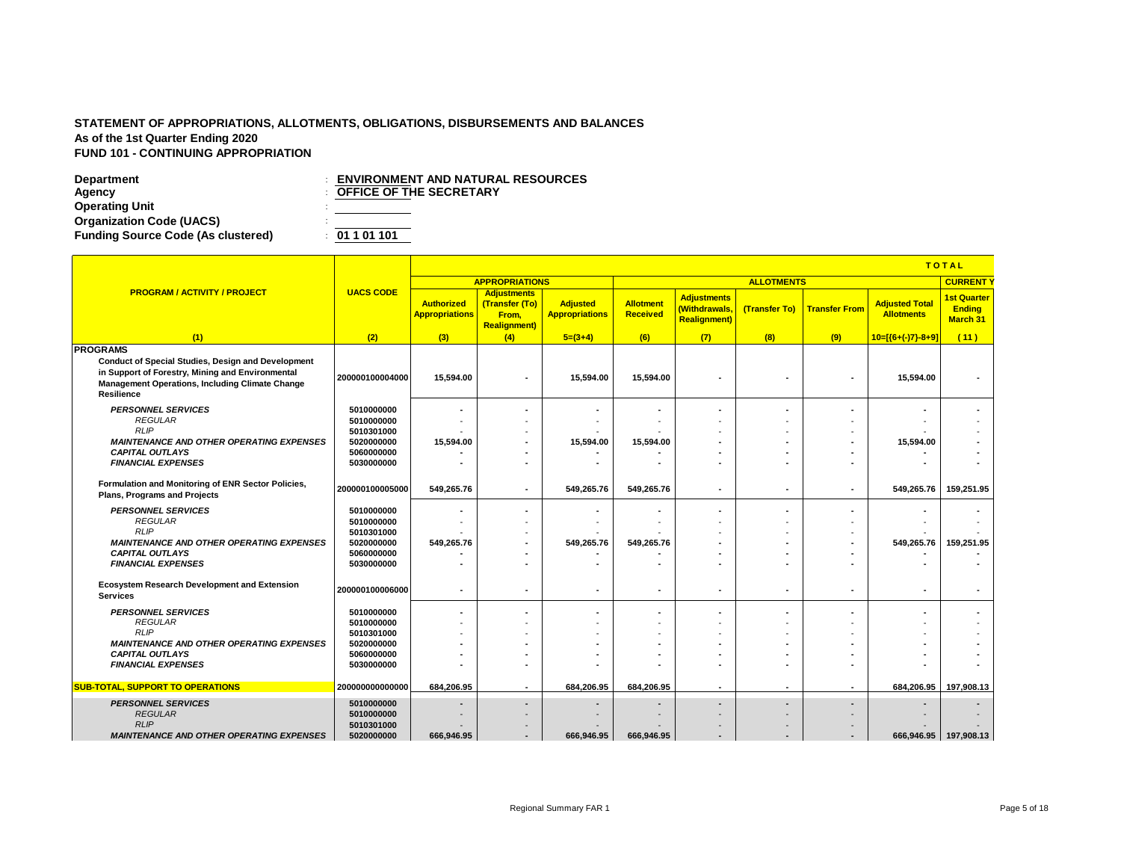|                                                                                                                                                                                                   |                          |                                     | <b>TOTAL</b>                                                         |                                          |                              |                                                            |                          |                          |                                            |                                                        |
|---------------------------------------------------------------------------------------------------------------------------------------------------------------------------------------------------|--------------------------|-------------------------------------|----------------------------------------------------------------------|------------------------------------------|------------------------------|------------------------------------------------------------|--------------------------|--------------------------|--------------------------------------------|--------------------------------------------------------|
|                                                                                                                                                                                                   |                          |                                     | <b>APPROPRIATIONS</b>                                                |                                          |                              |                                                            | <b>ALLOTMENTS</b>        |                          |                                            | <b>CURRENT</b>                                         |
| <b>PROGRAM / ACTIVITY / PROJECT</b>                                                                                                                                                               | <b>UACS CODE</b>         | Authorized<br><b>Appropriations</b> | <b>Adjustments</b><br>(Transfer (To)<br>From,<br><b>Realignment)</b> | <b>Adjusted</b><br><b>Appropriations</b> | <b>Allotment</b><br>Received | <b>Adjustments</b><br>(Withdrawals,<br><b>Realignment)</b> | (Transfer To)            | <b>Transfer From</b>     | <b>Adjusted Total</b><br><b>Allotments</b> | <b>1st Quarter</b><br><b>Ending</b><br><b>March 31</b> |
| (1)                                                                                                                                                                                               | (2)                      | (3)                                 | (4)                                                                  | $5=(3+4)$                                | (6)                          | (7)                                                        | (8)                      | (9)                      | $10=[(6+(-7)-8+9)]$                        | (11)                                                   |
| <b>PROGRAMS</b><br>Conduct of Special Studies, Design and Development<br>in Support of Forestry, Mining and Environmental<br><b>Management Operations, Including Climate Change</b><br>Resilience | 200000100004000          | 15,594.00                           |                                                                      | 15,594.00                                | 15.594.00                    | ٠                                                          | ٠                        | $\blacksquare$           | 15,594.00                                  |                                                        |
| <b>PERSONNEL SERVICES</b>                                                                                                                                                                         | 5010000000               |                                     |                                                                      |                                          |                              |                                                            |                          |                          |                                            |                                                        |
| <b>REGULAR</b>                                                                                                                                                                                    | 5010000000               |                                     |                                                                      |                                          |                              |                                                            |                          |                          |                                            |                                                        |
| <b>RLIP</b>                                                                                                                                                                                       | 5010301000               |                                     |                                                                      |                                          |                              |                                                            |                          |                          |                                            |                                                        |
| <b>MAINTENANCE AND OTHER OPERATING EXPENSES</b><br><b>CAPITAL OUTLAYS</b>                                                                                                                         | 5020000000<br>5060000000 | 15,594.00                           | $\overline{\phantom{a}}$                                             | 15.594.00                                | 15.594.00                    |                                                            |                          | $\blacksquare$           | 15.594.00                                  |                                                        |
| <b>FINANCIAL EXPENSES</b>                                                                                                                                                                         | 5030000000               |                                     |                                                                      |                                          |                              |                                                            |                          |                          |                                            |                                                        |
|                                                                                                                                                                                                   |                          |                                     |                                                                      |                                          |                              |                                                            |                          |                          |                                            |                                                        |
| Formulation and Monitoring of ENR Sector Policies,<br><b>Plans, Programs and Projects</b>                                                                                                         | 200000100005000          | 549.265.76                          |                                                                      | 549.265.76                               | 549.265.76                   | $\blacksquare$                                             | ٠                        | $\blacksquare$           | 549.265.76                                 | 159,251.95                                             |
| <b>PERSONNEL SERVICES</b>                                                                                                                                                                         | 5010000000               |                                     |                                                                      |                                          | ٠                            | ٠                                                          |                          | ٠                        |                                            |                                                        |
| <b>REGULAR</b>                                                                                                                                                                                    | 5010000000               |                                     |                                                                      |                                          |                              |                                                            |                          |                          |                                            |                                                        |
| <b>RLIP</b>                                                                                                                                                                                       | 5010301000               |                                     |                                                                      |                                          |                              |                                                            |                          |                          |                                            |                                                        |
| <b>MAINTENANCE AND OTHER OPERATING EXPENSES</b>                                                                                                                                                   | 5020000000               | 549,265.76                          |                                                                      | 549,265.76                               | 549,265.76                   |                                                            |                          | $\overline{\phantom{a}}$ | 549,265.76                                 | 159,251.95                                             |
| <b>CAPITAL OUTLAYS</b>                                                                                                                                                                            | 5060000000               |                                     |                                                                      |                                          |                              |                                                            |                          |                          |                                            |                                                        |
| <b>FINANCIAL EXPENSES</b>                                                                                                                                                                         | 5030000000               |                                     |                                                                      |                                          | ٠                            | ٠                                                          |                          | $\blacksquare$           |                                            |                                                        |
| <b>Ecosystem Research Development and Extension</b><br><b>Services</b>                                                                                                                            | 200000100006000          | $\sim$                              | $\overline{\phantom{a}}$                                             | $\blacksquare$                           | ٠                            | $\blacksquare$                                             | ٠                        | $\overline{\phantom{a}}$ | $\overline{\phantom{a}}$                   | $\blacksquare$                                         |
| <b>PERSONNEL SERVICES</b>                                                                                                                                                                         | 5010000000               | ٠                                   |                                                                      |                                          | ٠                            | ٠                                                          |                          | $\blacksquare$           |                                            |                                                        |
| <b>REGULAR</b>                                                                                                                                                                                    | 5010000000               |                                     |                                                                      |                                          |                              |                                                            |                          |                          |                                            |                                                        |
| <b>RLIP</b>                                                                                                                                                                                       | 5010301000               |                                     |                                                                      |                                          |                              |                                                            |                          |                          |                                            |                                                        |
| <b>MAINTENANCE AND OTHER OPERATING EXPENSES</b>                                                                                                                                                   | 5020000000               |                                     |                                                                      |                                          |                              |                                                            |                          |                          |                                            |                                                        |
| <b>CAPITAL OUTLAYS</b>                                                                                                                                                                            | 5060000000               |                                     |                                                                      |                                          | ۰                            | $\overline{\phantom{a}}$                                   |                          |                          |                                            |                                                        |
| <b>FINANCIAL EXPENSES</b>                                                                                                                                                                         | 5030000000               |                                     |                                                                      |                                          |                              |                                                            |                          |                          |                                            |                                                        |
| <b>SUB-TOTAL, SUPPORT TO OPERATIONS</b>                                                                                                                                                           | 200000000000000          | 684.206.95                          |                                                                      | 684.206.95                               | 684.206.95                   | ٠                                                          |                          | $\overline{\phantom{a}}$ | 684,206.95                                 | 197.908.13                                             |
| <b>PERSONNEL SERVICES</b>                                                                                                                                                                         | 5010000000               | $\overline{\phantom{0}}$            | $\blacksquare$                                                       | $\blacksquare$                           | $\overline{\phantom{a}}$     | $\overline{\phantom{a}}$                                   | $\overline{\phantom{a}}$ | $\overline{\phantom{a}}$ |                                            |                                                        |
| <b>REGULAR</b>                                                                                                                                                                                    | 5010000000               |                                     |                                                                      |                                          |                              |                                                            |                          |                          |                                            |                                                        |
| <b>RLIP</b>                                                                                                                                                                                       | 5010301000               |                                     |                                                                      |                                          |                              |                                                            |                          |                          |                                            |                                                        |
| <b>MAINTENANCE AND OTHER OPERATING EXPENSES</b>                                                                                                                                                   | 5020000000               | 666,946.95                          | $\overline{\phantom{a}}$                                             | 666,946.95                               | 666,946.95                   | ٠                                                          | $\overline{\phantom{a}}$ | $\overline{\phantom{a}}$ |                                            | 666,946.95 197,908.13                                  |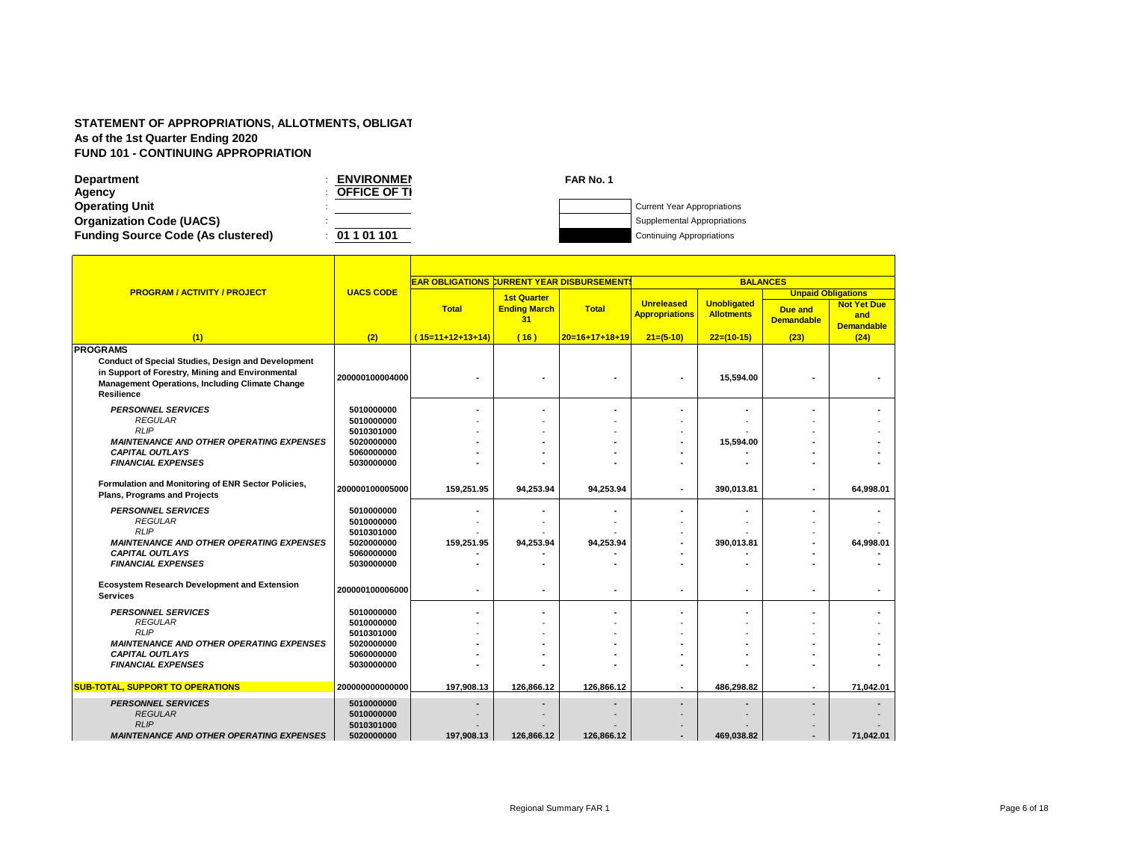| <b>Department</b>                         | <b>ENVIRONMEN</b>   | FAR No. 1 |                                    |
|-------------------------------------------|---------------------|-----------|------------------------------------|
| Agency                                    | <b>OFFICE OF TI</b> |           |                                    |
| <b>Operating Unit</b>                     |                     |           | <b>Current Year Appropriations</b> |
| <b>Organization Code (UACS)</b>           |                     |           | Supplemental Appropriations        |
| <b>Funding Source Code (As clustered)</b> | 01 1 01 101         |           | <b>Continuing Appropriations</b>   |

|                                                                                                                                                                                              |                          | <b>EAR OBLIGATIONS CURRENT YEAR DISBURSEMENT!</b> |                           |                  |                                            | <b>BALANCES</b>                         |                                     |                                                |
|----------------------------------------------------------------------------------------------------------------------------------------------------------------------------------------------|--------------------------|---------------------------------------------------|---------------------------|------------------|--------------------------------------------|-----------------------------------------|-------------------------------------|------------------------------------------------|
| <b>PROGRAM / ACTIVITY / PROJECT</b>                                                                                                                                                          | <b>UACS CODE</b>         |                                                   | <b>1st Quarter</b>        |                  |                                            |                                         | <b>Unpaid Obligations</b>           |                                                |
|                                                                                                                                                                                              |                          | <b>Total</b>                                      | <b>Ending March</b><br>31 | <b>Total</b>     | <b>Unreleased</b><br><b>Appropriations</b> | <b>Unobligated</b><br><b>Allotments</b> | <b>Due and</b><br><b>Demandable</b> | <b>Not Yet Due</b><br>and<br><b>Demandable</b> |
| (1)                                                                                                                                                                                          | (2)                      | $(15=11+12+13+14)$                                | (16)                      | $20=16+17+18+19$ | $21=(5-10)$                                | $22=(10-15)$                            | (23)                                | (24)                                           |
| <b>PROGRAMS</b>                                                                                                                                                                              |                          |                                                   |                           |                  |                                            |                                         |                                     |                                                |
| <b>Conduct of Special Studies, Design and Development</b><br>in Support of Forestry, Mining and Environmental<br><b>Management Operations, Including Climate Change</b><br><b>Resilience</b> | 200000100004000          |                                                   |                           |                  |                                            | 15,594.00                               |                                     |                                                |
| <b>PERSONNEL SERVICES</b>                                                                                                                                                                    | 5010000000               |                                                   |                           |                  |                                            |                                         |                                     |                                                |
| <b>REGULAR</b>                                                                                                                                                                               | 5010000000               |                                                   |                           |                  |                                            |                                         |                                     |                                                |
| <b>RLIP</b>                                                                                                                                                                                  | 5010301000               |                                                   |                           |                  |                                            |                                         |                                     |                                                |
| <b>MAINTENANCE AND OTHER OPERATING EXPENSES</b>                                                                                                                                              | 5020000000               |                                                   |                           |                  |                                            | 15,594.00                               |                                     |                                                |
| <b>CAPITAL OUTLAYS</b>                                                                                                                                                                       | 5060000000               |                                                   |                           |                  |                                            |                                         |                                     |                                                |
| <b>FINANCIAL EXPENSES</b>                                                                                                                                                                    | 5030000000               |                                                   |                           |                  |                                            |                                         |                                     |                                                |
| Formulation and Monitoring of ENR Sector Policies,<br><b>Plans, Programs and Projects</b>                                                                                                    | 200000100005000          | 159,251.95                                        | 94.253.94                 | 94.253.94        |                                            | 390.013.81                              |                                     | 64.998.01                                      |
| <b>PERSONNEL SERVICES</b>                                                                                                                                                                    | 5010000000               |                                                   |                           |                  |                                            |                                         |                                     |                                                |
| <b>REGULAR</b>                                                                                                                                                                               | 5010000000               |                                                   |                           |                  |                                            |                                         |                                     |                                                |
| <b>RLIP</b>                                                                                                                                                                                  | 5010301000               |                                                   |                           |                  |                                            |                                         |                                     |                                                |
| <b>MAINTENANCE AND OTHER OPERATING EXPENSES</b>                                                                                                                                              | 5020000000               | 159,251.95                                        | 94,253.94                 | 94,253.94        |                                            | 390,013.81                              |                                     | 64,998.01                                      |
| <b>CAPITAL OUTLAYS</b>                                                                                                                                                                       | 5060000000               |                                                   |                           |                  |                                            |                                         |                                     |                                                |
| <b>FINANCIAL EXPENSES</b>                                                                                                                                                                    | 5030000000               |                                                   |                           |                  |                                            |                                         |                                     |                                                |
| <b>Ecosystem Research Development and Extension</b><br><b>Services</b>                                                                                                                       | 200000100006000          |                                                   | ٠                         | ٠                | $\overline{\phantom{a}}$                   | ٠                                       |                                     |                                                |
| <b>PERSONNEL SERVICES</b>                                                                                                                                                                    | 5010000000               |                                                   |                           |                  |                                            |                                         |                                     |                                                |
| <b>REGULAR</b>                                                                                                                                                                               | 5010000000               |                                                   |                           |                  |                                            |                                         |                                     |                                                |
| <b>RLIP</b>                                                                                                                                                                                  | 5010301000               |                                                   |                           |                  |                                            |                                         |                                     |                                                |
| <b>MAINTENANCE AND OTHER OPERATING EXPENSES</b>                                                                                                                                              | 5020000000               |                                                   |                           |                  |                                            |                                         |                                     |                                                |
| <b>CAPITAL OUTLAYS</b><br><b>FINANCIAL EXPENSES</b>                                                                                                                                          | 5060000000<br>5030000000 |                                                   |                           |                  |                                            |                                         |                                     |                                                |
|                                                                                                                                                                                              |                          |                                                   |                           |                  |                                            |                                         |                                     |                                                |
| <b>SUB-TOTAL, SUPPORT TO OPERATIONS</b>                                                                                                                                                      | 200000000000000          | 197,908.13                                        | 126.866.12                | 126.866.12       | ٠                                          | 486,298.82                              | ۰                                   | 71.042.01                                      |
| <b>PERSONNEL SERVICES</b>                                                                                                                                                                    | 5010000000               |                                                   |                           |                  |                                            |                                         |                                     |                                                |
| <b>REGULAR</b>                                                                                                                                                                               | 5010000000               |                                                   |                           |                  |                                            |                                         |                                     |                                                |
| <b>RLIP</b>                                                                                                                                                                                  | 5010301000               |                                                   |                           |                  |                                            |                                         |                                     |                                                |
| <b>MAINTENANCE AND OTHER OPERATING EXPENSES</b>                                                                                                                                              | 5020000000               | 197.908.13                                        | 126.866.12                | 126.866.12       |                                            | 469.038.82                              |                                     | 71.042.01                                      |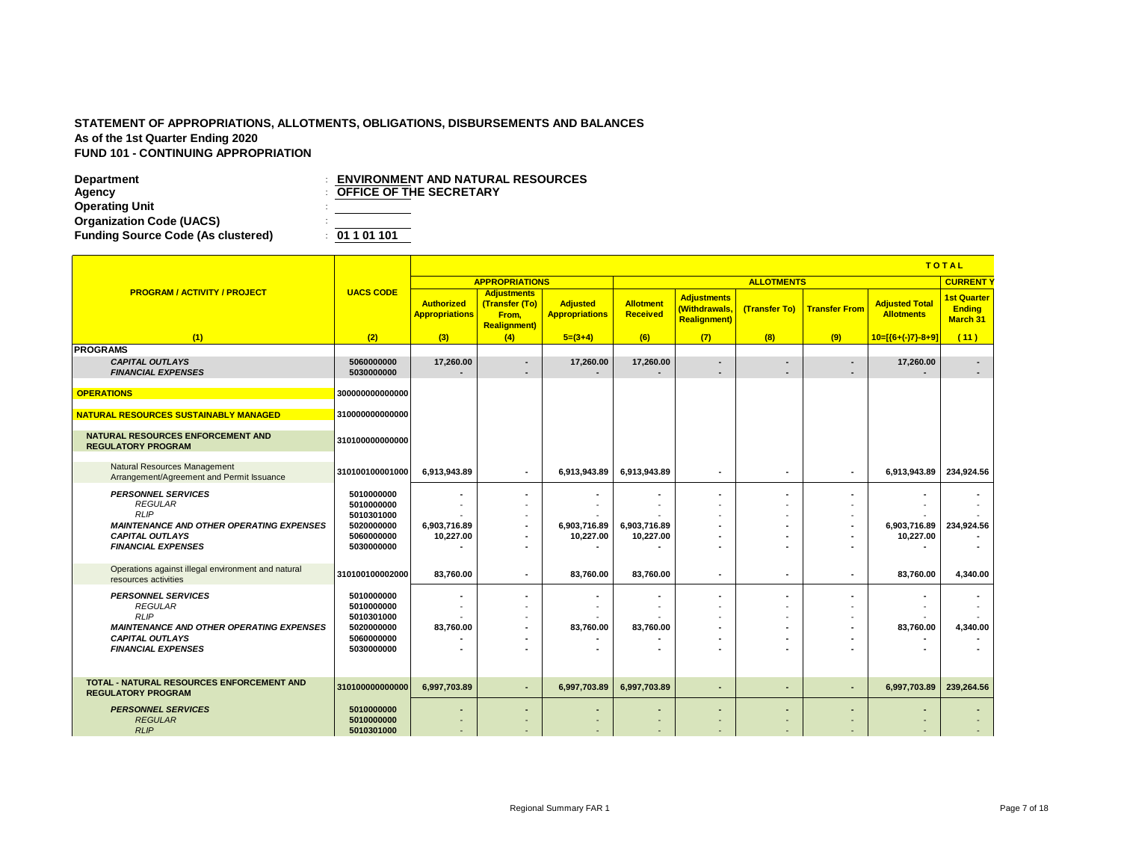**Department**<br> **Department**<br> **DEFICE OF THE SECRETARY**<br> **DEFICE OF THE SECRETARY Operating Unit** : **Organization Code (UACS)** : **Funding Source Code (As clustered)** : **01 1 01 101**

|                                                                                                                                                                      |                                                                                  |                                                      | <b>TOTAL</b>                                                                          |                                          |                                                 |                                                             |                          |                                                                                                    |                                            |                                                        |
|----------------------------------------------------------------------------------------------------------------------------------------------------------------------|----------------------------------------------------------------------------------|------------------------------------------------------|---------------------------------------------------------------------------------------|------------------------------------------|-------------------------------------------------|-------------------------------------------------------------|--------------------------|----------------------------------------------------------------------------------------------------|--------------------------------------------|--------------------------------------------------------|
|                                                                                                                                                                      |                                                                                  |                                                      | <b>APPROPRIATIONS</b>                                                                 |                                          |                                                 |                                                             | <b>ALLOTMENTS</b>        |                                                                                                    |                                            | <b>CURRENT</b>                                         |
| <b>PROGRAM / ACTIVITY / PROJECT</b>                                                                                                                                  | <b>UACS CODE</b>                                                                 | <b>Authorized</b><br><b>Appropriations</b>           | <b>Adjustments</b><br>(Transfer (To)<br>From.<br><b>Realignment</b> )                 | <b>Adjusted</b><br><b>Appropriations</b> | <b>Allotment</b><br>Received                    | <b>Adjustments</b><br>(Withdrawals,<br><b>Realignment</b> ) | (Transfer To)            | <b>Transfer From</b>                                                                               | <b>Adjusted Total</b><br><b>Allotments</b> | <b>1st Quarter</b><br><b>Ending</b><br><b>March 31</b> |
| (1)                                                                                                                                                                  | (2)                                                                              | (3)                                                  | (4)                                                                                   | $5=(3+4)$                                | (6)                                             | (7)                                                         | (8)                      | (9)                                                                                                | $10 = \frac{1}{6 + (-)7} - 8 + 9$          | (11)                                                   |
| <b>PROGRAMS</b>                                                                                                                                                      |                                                                                  |                                                      |                                                                                       |                                          |                                                 |                                                             |                          |                                                                                                    |                                            |                                                        |
| <b>CAPITAL OUTLAYS</b><br><b>FINANCIAL EXPENSES</b>                                                                                                                  | 5060000000<br>5030000000                                                         | 17,260.00                                            | ٠                                                                                     | 17,260.00                                | 17,260.00                                       | $\blacksquare$<br>٠                                         | ٠                        | $\blacksquare$<br>$\blacksquare$                                                                   | 17,260.00                                  | $\overline{\phantom{a}}$<br>$\blacksquare$             |
| <b>OPERATIONS</b>                                                                                                                                                    | 300000000000000                                                                  |                                                      |                                                                                       |                                          |                                                 |                                                             |                          |                                                                                                    |                                            |                                                        |
| <b>NATURAL RESOURCES SUSTAINABLY MANAGED</b>                                                                                                                         | 310000000000000                                                                  |                                                      |                                                                                       |                                          |                                                 |                                                             |                          |                                                                                                    |                                            |                                                        |
| NATURAL RESOURCES ENFORCEMENT AND<br><b>REGULATORY PROGRAM</b>                                                                                                       | 310100000000000                                                                  |                                                      |                                                                                       |                                          |                                                 |                                                             |                          |                                                                                                    |                                            |                                                        |
| <b>Natural Resources Management</b><br>Arrangement/Agreement and Permit Issuance                                                                                     | 310100100001000                                                                  | 6,913,943.89                                         | $\sim$                                                                                | 6,913,943.89                             | 6,913,943.89                                    | ٠.                                                          | $\blacksquare$           | $\blacksquare$                                                                                     | 6,913,943.89                               | 234,924.56                                             |
| <b>PERSONNEL SERVICES</b><br><b>REGULAR</b><br><b>RLIP</b><br><b>MAINTENANCE AND OTHER OPERATING EXPENSES</b><br><b>CAPITAL OUTLAYS</b><br><b>FINANCIAL EXPENSES</b> | 5010000000<br>5010000000<br>5010301000<br>5020000000<br>5060000000<br>5030000000 | 6,903,716.89<br>10,227.00                            | ٠<br>$\overline{\phantom{a}}$<br>$\blacksquare$<br>٠                                  | 6.903.716.89<br>10,227.00                | ٠<br>6,903,716.89<br>10,227.00                  | ٠<br>٠<br>٠<br>٠                                            |                          | $\overline{\phantom{a}}$<br>$\overline{\phantom{a}}$<br>$\overline{\phantom{a}}$<br>$\blacksquare$ | 6,903,716.89<br>10,227.00                  | 234,924.56                                             |
| Operations against illegal environment and natural<br>resources activities                                                                                           | 310100100002000                                                                  | 83,760.00                                            | ٠.                                                                                    | 83,760.00                                | 83,760.00                                       | ٠                                                           | $\overline{\phantom{a}}$ | $\overline{\phantom{a}}$                                                                           | 83,760.00                                  | 4,340.00                                               |
| <b>PERSONNEL SERVICES</b><br><b>REGULAR</b><br><b>RLIP</b><br><b>MAINTENANCE AND OTHER OPERATING EXPENSES</b><br><b>CAPITAL OUTLAYS</b><br><b>FINANCIAL EXPENSES</b> | 5010000000<br>5010000000<br>5010301000<br>5020000000<br>5060000000<br>5030000000 | $\blacksquare$<br>83,760.00                          | ٠<br>$\overline{\phantom{a}}$<br>$\overline{\phantom{a}}$<br>$\overline{\phantom{a}}$ | 83,760.00                                | ٠<br>$\overline{\phantom{a}}$<br>83,760.00<br>٠ | ٠<br>٠<br>٠<br>۰<br>٠                                       | $\overline{\phantom{a}}$ | $\blacksquare$<br>٠<br>$\overline{\phantom{a}}$                                                    | 83.760.00                                  | $\overline{\phantom{a}}$<br>4,340.00                   |
| <b>TOTAL - NATURAL RESOURCES ENFORCEMENT AND</b><br><b>REGULATORY PROGRAM</b>                                                                                        | 310100000000000                                                                  | 6,997,703.89                                         | $\sim$                                                                                | 6,997,703.89                             | 6,997,703.89                                    | $\sim$                                                      | ٠                        | $\sim$                                                                                             | 6,997,703.89                               | 239,264.56                                             |
| <b>PERSONNEL SERVICES</b><br><b>REGULAR</b><br><b>RLIP</b>                                                                                                           | 5010000000<br>5010000000<br>5010301000                                           | $\overline{\phantom{0}}$<br>$\overline{\phantom{a}}$ |                                                                                       |                                          | ٠<br>$\overline{\phantom{a}}$                   | ٠<br>$\overline{\phantom{a}}$                               |                          | ٠                                                                                                  | $\sim$                                     | $\sim$                                                 |

**OFFICE OF THE SECRETARY**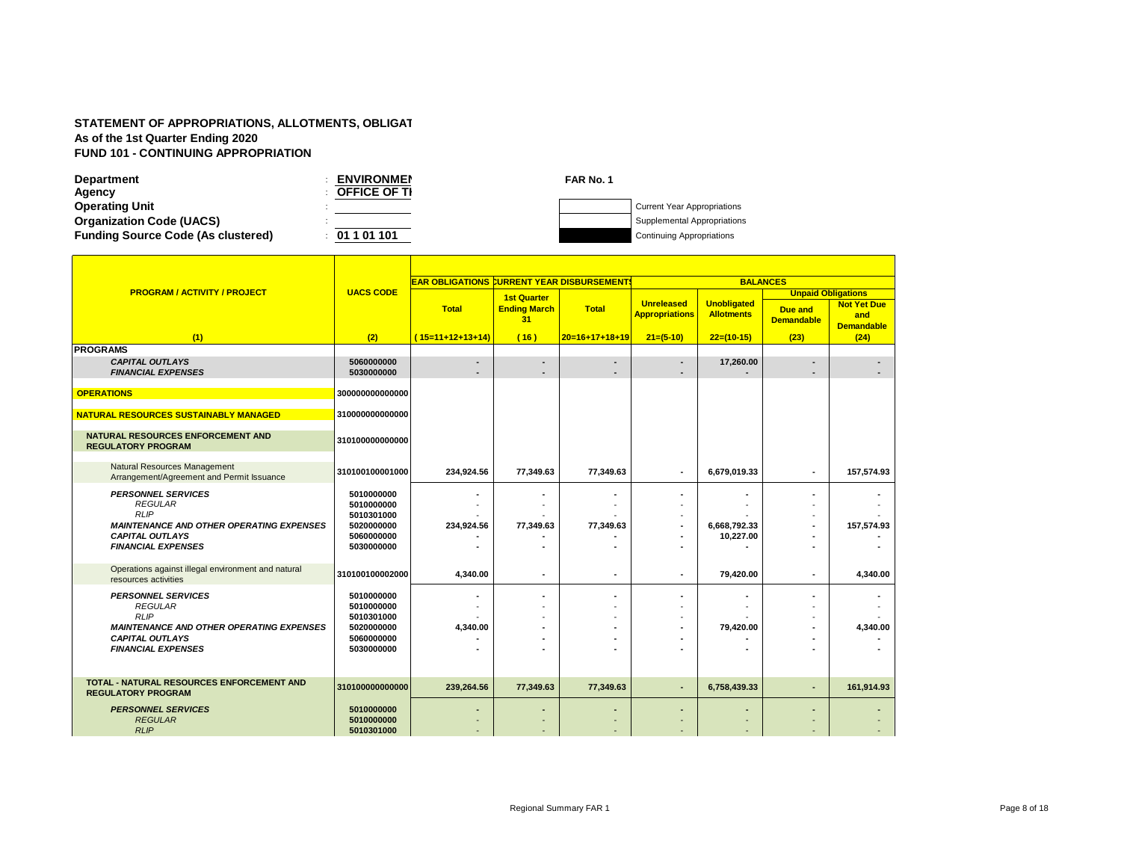| <b>Department</b>                         | <b>ENVIRONMEN</b>   | FAR No. 1 |                                    |
|-------------------------------------------|---------------------|-----------|------------------------------------|
| Agency                                    | <b>OFFICE OF TI</b> |           |                                    |
| <b>Operating Unit</b>                     |                     |           | <b>Current Year Appropriations</b> |
| <b>Organization Code (UACS)</b>           |                     |           | Supplemental Appropriations        |
| <b>Funding Source Code (As clustered)</b> | 01 1 01 101         |           | <b>Continuing Appropriations</b>   |

|                                                                                                                                                                      |                                                                                  | <b>EAR OBLIGATIONS CURRENT YEAR DISBURSEMENT!</b> |                                                 |                  |                                            | <b>BALANCES</b>                         |                                                           |                                                |
|----------------------------------------------------------------------------------------------------------------------------------------------------------------------|----------------------------------------------------------------------------------|---------------------------------------------------|-------------------------------------------------|------------------|--------------------------------------------|-----------------------------------------|-----------------------------------------------------------|------------------------------------------------|
| <b>PROGRAM / ACTIVITY / PROJECT</b>                                                                                                                                  | <b>UACS CODE</b>                                                                 | <b>Total</b>                                      | <b>1st Quarter</b><br><b>Ending March</b><br>31 | <b>Total</b>     | <b>Unreleased</b><br><b>Appropriations</b> | <b>Unobligated</b><br><b>Allotments</b> | <b>Unpaid Obligations</b><br>Due and<br><b>Demandable</b> | <b>Not Yet Due</b><br>and<br><b>Demandable</b> |
| (1)                                                                                                                                                                  | (2)                                                                              | $(15=11+12+13+14)$                                | (16)                                            | $20=16+17+18+19$ | $21=(5-10)$                                | $22=(10-15)$                            | (23)                                                      | (24)                                           |
| <b>PROGRAMS</b>                                                                                                                                                      |                                                                                  |                                                   |                                                 |                  |                                            |                                         |                                                           |                                                |
| <b>CAPITAL OUTLAYS</b><br><b>FINANCIAL EXPENSES</b>                                                                                                                  | 5060000000<br>5030000000                                                         |                                                   |                                                 |                  |                                            | 17,260.00                               |                                                           |                                                |
| <b>OPERATIONS</b>                                                                                                                                                    | 300000000000000                                                                  |                                                   |                                                 |                  |                                            |                                         |                                                           |                                                |
| NATURAL RESOURCES SUSTAINABLY MANAGED                                                                                                                                | 310000000000000                                                                  |                                                   |                                                 |                  |                                            |                                         |                                                           |                                                |
| NATURAL RESOURCES ENFORCEMENT AND<br><b>REGULATORY PROGRAM</b>                                                                                                       | 310100000000000                                                                  |                                                   |                                                 |                  |                                            |                                         |                                                           |                                                |
| Natural Resources Management<br>Arrangement/Agreement and Permit Issuance                                                                                            | 310100100001000                                                                  | 234,924.56                                        | 77,349.63                                       | 77,349.63        | ٠                                          | 6,679,019.33                            | ٠                                                         | 157,574.93                                     |
| <b>PERSONNEL SERVICES</b><br><b>REGULAR</b><br><b>RLIP</b><br><b>MAINTENANCE AND OTHER OPERATING EXPENSES</b><br><b>CAPITAL OUTLAYS</b><br><b>FINANCIAL EXPENSES</b> | 5010000000<br>5010000000<br>5010301000<br>5020000000<br>5060000000<br>5030000000 | 234,924.56                                        | 77,349.63                                       | 77,349.63        | $\overline{\phantom{a}}$                   | 6,668,792.33<br>10,227.00               |                                                           | 157,574.93                                     |
| Operations against illegal environment and natural<br>resources activities                                                                                           | 310100100002000                                                                  | 4,340.00                                          | ٠                                               | ٠                | ٠                                          | 79,420.00                               | ٠                                                         | 4,340.00                                       |
| <b>PERSONNEL SERVICES</b><br><b>REGULAR</b><br><b>RLIP</b><br><b>MAINTENANCE AND OTHER OPERATING EXPENSES</b><br><b>CAPITAL OUTLAYS</b><br><b>FINANCIAL EXPENSES</b> | 5010000000<br>5010000000<br>5010301000<br>5020000000<br>5060000000<br>5030000000 | 4,340.00                                          |                                                 |                  |                                            | 79,420.00                               |                                                           | 4,340.00                                       |
| <b>TOTAL - NATURAL RESOURCES ENFORCEMENT AND</b><br><b>REGULATORY PROGRAM</b>                                                                                        | 310100000000000                                                                  | 239,264.56                                        | 77,349.63                                       | 77,349.63        | ٠                                          | 6,758,439.33                            | ٠                                                         | 161,914.93                                     |
| <b>PERSONNEL SERVICES</b><br><b>REGULAR</b><br>RLIP                                                                                                                  | 5010000000<br>5010000000<br>5010301000                                           |                                                   |                                                 |                  |                                            |                                         |                                                           |                                                |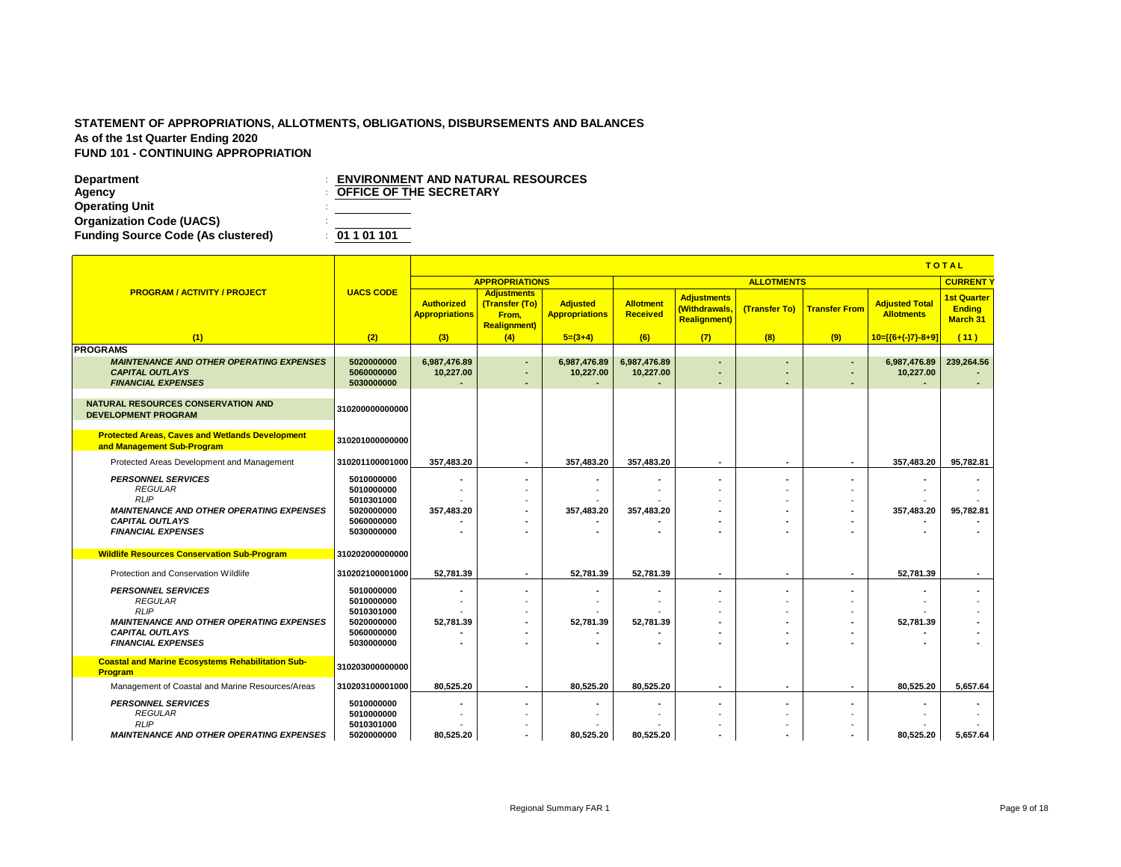|                                                                                      |                          |                                            |                                                                       |                                          |                       |                                                             |                          |                          |                                            | <b>TOTAL</b>                                           |
|--------------------------------------------------------------------------------------|--------------------------|--------------------------------------------|-----------------------------------------------------------------------|------------------------------------------|-----------------------|-------------------------------------------------------------|--------------------------|--------------------------|--------------------------------------------|--------------------------------------------------------|
|                                                                                      |                          |                                            | <b>APPROPRIATIONS</b>                                                 |                                          |                       |                                                             | <b>ALLOTMENTS</b>        |                          |                                            | <b>CURRENT</b>                                         |
| <b>PROGRAM / ACTIVITY / PROJECT</b>                                                  | <b>UACS CODE</b>         | <b>Authorized</b><br><b>Appropriations</b> | <b>Adjustments</b><br>(Transfer (To)<br>From.<br><b>Realignment</b> ) | <b>Adjusted</b><br><b>Appropriations</b> | Allotment<br>Received | <b>Adjustments</b><br>(Withdrawals,<br><b>Realignment</b> ) | (Transfer To)            | <b>Transfer From</b>     | <b>Adjusted Total</b><br><b>Allotments</b> | <b>1st Quarter</b><br><b>Ending</b><br><b>March 31</b> |
| (1)                                                                                  | (2)                      | (3)                                        | (4)                                                                   | $5=(3+4)$                                | (6)                   | (7)                                                         | (8)                      | (9)                      | $10=[(6+(-)7)-8+9]$                        | (11)                                                   |
| <b>PROGRAMS</b>                                                                      |                          |                                            |                                                                       |                                          |                       |                                                             |                          |                          |                                            |                                                        |
| <b>MAINTENANCE AND OTHER OPERATING EXPENSES</b>                                      | 5020000000               | 6.987.476.89                               | $\overline{\phantom{a}}$                                              | 6,987,476.89                             | 6,987,476.89          | ٠                                                           |                          | $\sim$                   | 6,987,476.89                               | 239,264.56                                             |
| <b>CAPITAL OUTLAYS</b>                                                               | 5060000000<br>5030000000 | 10,227.00                                  | ۰.                                                                    | 10,227.00                                | 10,227.00             | $\overline{\phantom{a}}$                                    |                          | $\overline{\phantom{a}}$ | 10,227.00                                  |                                                        |
| <b>FINANCIAL EXPENSES</b>                                                            |                          |                                            | ٠                                                                     |                                          |                       | ٠                                                           |                          | ٠                        |                                            |                                                        |
| <b>NATURAL RESOURCES CONSERVATION AND</b><br><b>DEVELOPMENT PROGRAM</b>              | 310200000000000          |                                            |                                                                       |                                          |                       |                                                             |                          |                          |                                            |                                                        |
| <b>Protected Areas, Caves and Wetlands Development</b><br>and Management Sub-Program | 310201000000000          |                                            |                                                                       |                                          |                       |                                                             |                          |                          |                                            |                                                        |
| Protected Areas Development and Management                                           | 310201100001000          | 357,483.20                                 | $\overline{\phantom{a}}$                                              | 357.483.20                               | 357.483.20            | $\sim$                                                      | $\overline{\phantom{a}}$ | $\overline{a}$           | 357,483.20                                 | 95,782.81                                              |
| <b>PERSONNEL SERVICES</b>                                                            | 5010000000               |                                            | $\overline{\phantom{a}}$                                              |                                          |                       | ٠                                                           |                          | $\blacksquare$           |                                            |                                                        |
| <b>REGULAR</b>                                                                       | 5010000000               |                                            |                                                                       |                                          |                       |                                                             |                          |                          |                                            |                                                        |
| RLIP                                                                                 | 5010301000               |                                            |                                                                       |                                          |                       |                                                             |                          |                          |                                            |                                                        |
| <b>MAINTENANCE AND OTHER OPERATING EXPENSES</b>                                      | 5020000000               | 357.483.20                                 |                                                                       | 357.483.20                               | 357,483.20            |                                                             |                          |                          | 357.483.20                                 | 95,782.81                                              |
| <b>CAPITAL OUTLAYS</b>                                                               | 5060000000               |                                            |                                                                       |                                          |                       |                                                             |                          |                          |                                            |                                                        |
| <b>FINANCIAL EXPENSES</b>                                                            | 5030000000               |                                            |                                                                       |                                          |                       |                                                             |                          |                          |                                            |                                                        |
| <b>Wildlife Resources Conservation Sub-Program</b>                                   | 310202000000000          |                                            |                                                                       |                                          |                       |                                                             |                          |                          |                                            |                                                        |
| Protection and Conservation Wildlife                                                 | 310202100001000          | 52,781.39                                  | $\overline{\phantom{a}}$                                              | 52,781.39                                | 52,781.39             | ٠                                                           | $\blacksquare$           | $\sim$                   | 52,781.39                                  | $\blacksquare$                                         |
|                                                                                      |                          |                                            |                                                                       |                                          |                       |                                                             |                          |                          |                                            |                                                        |
| <b>PERSONNEL SERVICES</b><br><b>REGULAR</b>                                          | 5010000000<br>5010000000 |                                            |                                                                       |                                          |                       | ٠                                                           |                          |                          |                                            |                                                        |
| <b>RLIP</b>                                                                          | 5010301000               |                                            |                                                                       |                                          |                       |                                                             |                          |                          |                                            |                                                        |
| <b>MAINTENANCE AND OTHER OPERATING EXPENSES</b>                                      | 5020000000               | 52.781.39                                  |                                                                       | 52.781.39                                | 52.781.39             | ٠                                                           |                          | $\overline{\phantom{a}}$ | 52.781.39                                  |                                                        |
| <b>CAPITAL OUTLAYS</b>                                                               | 5060000000               |                                            |                                                                       |                                          |                       |                                                             |                          |                          |                                            | $\overline{\phantom{a}}$                               |
| <b>FINANCIAL EXPENSES</b>                                                            | 5030000000               |                                            |                                                                       |                                          |                       |                                                             |                          |                          |                                            |                                                        |
| <b>Coastal and Marine Ecosystems Rehabilitation Sub-</b><br><b>Program</b>           | 310203000000000          |                                            |                                                                       |                                          |                       |                                                             |                          |                          |                                            |                                                        |
| Management of Coastal and Marine Resources/Areas                                     | 310203100001000          | 80,525.20                                  | $\overline{\phantom{a}}$                                              | 80,525.20                                | 80,525.20             | ٠                                                           | $\blacksquare$           | $\overline{\phantom{a}}$ | 80,525.20                                  | 5.657.64                                               |
| <b>PERSONNEL SERVICES</b>                                                            | 5010000000               |                                            |                                                                       |                                          |                       |                                                             |                          |                          |                                            |                                                        |
| <b>REGULAR</b>                                                                       | 5010000000               |                                            |                                                                       |                                          |                       |                                                             |                          |                          |                                            |                                                        |
| <b>RLIP</b>                                                                          | 5010301000               |                                            |                                                                       |                                          |                       |                                                             |                          |                          |                                            |                                                        |
| <b>MAINTENANCE AND OTHER OPERATING EXPENSES</b>                                      | 5020000000               | 80.525.20                                  |                                                                       | 80,525.20                                | 80,525.20             | ٠                                                           | $\overline{\phantom{a}}$ |                          | 80,525.20                                  | 5,657.64                                               |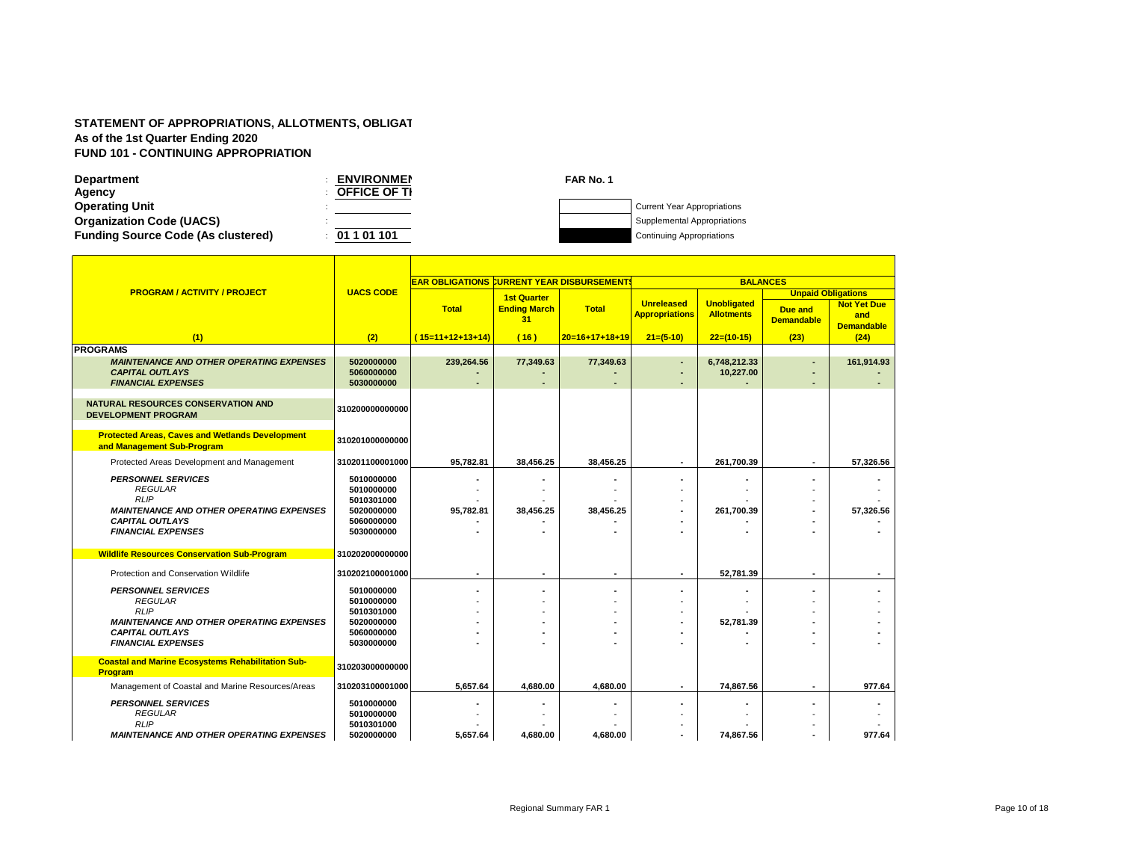| <b>Department</b>                         | <b>ENVIRONMEN</b>   | FAR No. 1 |                                    |
|-------------------------------------------|---------------------|-----------|------------------------------------|
| Agency                                    | <b>OFFICE OF TI</b> |           |                                    |
| <b>Operating Unit</b>                     |                     |           | <b>Current Year Appropriations</b> |
| <b>Organization Code (UACS)</b>           |                     |           | Supplemental Appropriations        |
| <b>Funding Source Code (As clustered)</b> | 01 1 01 101         |           | <b>Continuing Appropriations</b>   |

|                                                                                          |                                        | <b>EAR OBLIGATIONS CURRENT YEAR DISBURSEMENT!</b> |                                                 |                          |                                            | <b>BALANCES</b>                         |                                                                  |                                                |
|------------------------------------------------------------------------------------------|----------------------------------------|---------------------------------------------------|-------------------------------------------------|--------------------------|--------------------------------------------|-----------------------------------------|------------------------------------------------------------------|------------------------------------------------|
| <b>PROGRAM / ACTIVITY / PROJECT</b>                                                      | <b>UACS CODE</b>                       | <b>Total</b>                                      | <b>1st Quarter</b><br><b>Ending March</b><br>31 | <b>Total</b>             | <b>Unreleased</b><br><b>Appropriations</b> | <b>Unobligated</b><br><b>Allotments</b> | <b>Unpaid Obligations</b><br><b>Due and</b><br><b>Demandable</b> | <b>Not Yet Due</b><br>and<br><b>Demandable</b> |
| (1)                                                                                      | (2)                                    | $(15=11+12+13+14)$                                | (16)                                            | $20=16+17+18+19$         | $21=(5-10)$                                | $22=(10-15)$                            | (23)                                                             | (24)                                           |
| <b>PROGRAMS</b>                                                                          |                                        |                                                   |                                                 |                          |                                            |                                         |                                                                  |                                                |
| <b>MAINTENANCE AND OTHER OPERATING EXPENSES</b><br><b>CAPITAL OUTLAYS</b>                | 5020000000<br>5060000000               | 239,264.56                                        | 77,349.63                                       | 77,349.63                | ٠                                          | 6,748,212.33<br>10,227.00               |                                                                  | 161,914.93                                     |
| <b>FINANCIAL EXPENSES</b>                                                                | 5030000000                             |                                                   |                                                 |                          |                                            |                                         |                                                                  |                                                |
| <b>NATURAL RESOURCES CONSERVATION AND</b><br><b>DEVELOPMENT PROGRAM</b>                  | 310200000000000                        |                                                   |                                                 |                          |                                            |                                         |                                                                  |                                                |
| <b>Protected Areas, Caves and Wetlands Development</b><br>and Management Sub-Program     | 310201000000000                        |                                                   |                                                 |                          |                                            |                                         |                                                                  |                                                |
| Protected Areas Development and Management                                               | 310201100001000                        | 95,782.81                                         | 38,456.25                                       | 38,456.25                |                                            | 261,700.39                              |                                                                  | 57,326.56                                      |
| <b>PERSONNEL SERVICES</b><br><b>REGULAR</b>                                              | 5010000000<br>5010000000               |                                                   |                                                 |                          |                                            |                                         |                                                                  |                                                |
| <b>RLIP</b><br><b>MAINTENANCE AND OTHER OPERATING EXPENSES</b><br><b>CAPITAL OUTLAYS</b> | 5010301000<br>5020000000<br>5060000000 | 95,782.81                                         | 38,456.25                                       | 38,456.25                |                                            | 261,700.39                              |                                                                  | 57,326.56                                      |
| <b>FINANCIAL EXPENSES</b>                                                                | 5030000000                             |                                                   |                                                 |                          |                                            |                                         |                                                                  |                                                |
| <b>Wildlife Resources Conservation Sub-Program</b>                                       | 310202000000000                        |                                                   |                                                 |                          |                                            |                                         |                                                                  |                                                |
| Protection and Conservation Wildlife                                                     | 310202100001000                        | $\overline{\phantom{a}}$                          | $\overline{\phantom{a}}$                        | $\overline{\phantom{a}}$ | $\overline{\phantom{a}}$                   | 52,781.39                               | $\overline{\phantom{a}}$                                         |                                                |
| <b>PERSONNEL SERVICES</b><br><b>REGULAR</b>                                              | 5010000000<br>5010000000               |                                                   |                                                 |                          |                                            |                                         |                                                                  |                                                |
| <b>RLIP</b>                                                                              | 5010301000                             |                                                   |                                                 |                          |                                            |                                         |                                                                  |                                                |
| <b>MAINTENANCE AND OTHER OPERATING EXPENSES</b>                                          | 5020000000                             |                                                   |                                                 |                          |                                            | 52,781.39                               |                                                                  |                                                |
| <b>CAPITAL OUTLAYS</b>                                                                   | 5060000000                             |                                                   |                                                 |                          |                                            |                                         |                                                                  |                                                |
| <b>FINANCIAL EXPENSES</b>                                                                | 5030000000                             |                                                   |                                                 |                          |                                            |                                         |                                                                  |                                                |
| <b>Coastal and Marine Ecosystems Rehabilitation Sub-</b><br>Program                      | 310203000000000                        |                                                   |                                                 |                          |                                            |                                         |                                                                  |                                                |
| Management of Coastal and Marine Resources/Areas                                         | 310203100001000                        | 5,657.64                                          | 4,680.00                                        | 4,680.00                 |                                            | 74,867.56                               | $\overline{\phantom{a}}$                                         | 977.64                                         |
| <b>PERSONNEL SERVICES</b>                                                                | 5010000000                             |                                                   |                                                 |                          |                                            |                                         |                                                                  |                                                |
| <b>REGULAR</b><br><b>RLIP</b>                                                            | 5010000000<br>5010301000               |                                                   |                                                 |                          |                                            |                                         |                                                                  |                                                |
| <b>MAINTENANCE AND OTHER OPERATING EXPENSES</b>                                          | 5020000000                             | 5,657.64                                          | 4,680.00                                        | 4,680.00                 |                                            | 74,867.56                               |                                                                  | 977.64                                         |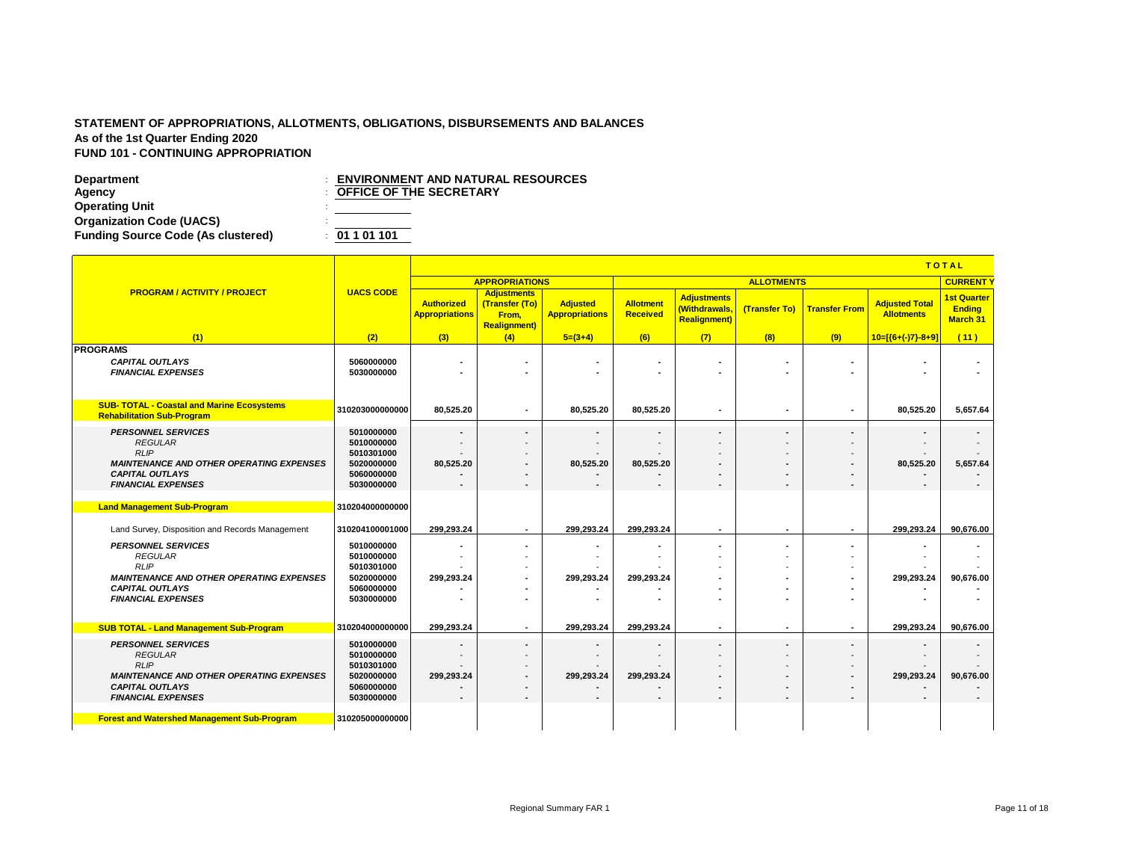|                                                                                                                                  |                                                                    |                                            |                                                                       |                                          |                              |                                                             |                   |                          |                                            | <b>TOTAL</b>                                           |
|----------------------------------------------------------------------------------------------------------------------------------|--------------------------------------------------------------------|--------------------------------------------|-----------------------------------------------------------------------|------------------------------------------|------------------------------|-------------------------------------------------------------|-------------------|--------------------------|--------------------------------------------|--------------------------------------------------------|
|                                                                                                                                  |                                                                    |                                            | <b>APPROPRIATIONS</b>                                                 |                                          |                              |                                                             | <b>ALLOTMENTS</b> |                          |                                            | <b>CURRENT</b>                                         |
| <b>PROGRAM / ACTIVITY / PROJECT</b>                                                                                              | <b>UACS CODE</b>                                                   | <b>Authorized</b><br><b>Appropriations</b> | <b>Adjustments</b><br>(Transfer (To)<br>From,<br><b>Realignment</b> ) | <b>Adjusted</b><br><b>Appropriations</b> | Allotment<br><b>Received</b> | <b>Adjustments</b><br>(Withdrawals,<br><b>Realignment</b> ) | (Transfer To)     | <b>Transfer From</b>     | <b>Adjusted Total</b><br><b>Allotments</b> | <b>1st Quarter</b><br><b>Ending</b><br><b>March 31</b> |
| (1)                                                                                                                              | (2)                                                                | (3)                                        | (4)                                                                   | $5=(3+4)$                                | (6)                          | (7)                                                         | (8)               | (9)                      | $10=[(6+(-7)-8+9)]$                        | (11)                                                   |
| <b>PROGRAMS</b><br><b>CAPITAL OUTLAYS</b><br><b>FINANCIAL EXPENSES</b>                                                           | 5060000000<br>5030000000                                           |                                            |                                                                       |                                          | ۰                            | ٠                                                           |                   |                          | $\overline{\phantom{a}}$                   |                                                        |
| <b>SUB- TOTAL - Coastal and Marine Ecosystems</b><br><b>Rehabilitation Sub-Program</b>                                           | 310203000000000                                                    | 80,525.20                                  |                                                                       | 80,525.20                                | 80,525.20                    | $\blacksquare$                                              |                   | $\overline{\phantom{a}}$ | 80,525.20                                  | 5,657.64                                               |
| <b>PERSONNEL SERVICES</b><br><b>REGULAR</b><br>RLIP<br><b>MAINTENANCE AND OTHER OPERATING EXPENSES</b><br><b>CAPITAL OUTLAYS</b> | 5010000000<br>5010000000<br>5010301000<br>5020000000<br>5060000000 | 80,525.20                                  |                                                                       | 80,525.20                                | ٠<br>80,525.20               | $\blacksquare$<br>-<br>$\blacksquare$<br>٠                  |                   | $\overline{a}$           | 80,525.20                                  | 5,657.64                                               |
| <b>FINANCIAL EXPENSES</b>                                                                                                        | 5030000000                                                         |                                            |                                                                       |                                          | ٠                            | $\blacksquare$                                              |                   |                          |                                            | $\blacksquare$                                         |
| <b>Land Management Sub-Program</b>                                                                                               | 310204000000000                                                    |                                            |                                                                       |                                          |                              |                                                             |                   |                          |                                            |                                                        |
| Land Survey, Disposition and Records Management                                                                                  | 310204100001000                                                    | 299.293.24                                 |                                                                       | 299.293.24                               | 299.293.24                   | ٠                                                           |                   | $\overline{\phantom{a}}$ | 299.293.24                                 | 90.676.00                                              |
| <b>PERSONNEL SERVICES</b><br><b>REGULAR</b>                                                                                      | 5010000000<br>5010000000                                           |                                            |                                                                       |                                          |                              | ٠<br>-                                                      |                   | $\blacksquare$           |                                            |                                                        |
| <b>RLIP</b>                                                                                                                      | 5010301000                                                         |                                            |                                                                       |                                          |                              |                                                             |                   |                          |                                            |                                                        |
| <b>MAINTENANCE AND OTHER OPERATING EXPENSES</b><br><b>CAPITAL OUTLAYS</b>                                                        | 5020000000<br>5060000000                                           | 299.293.24                                 |                                                                       | 299,293.24                               | 299,293.24                   |                                                             |                   |                          | 299.293.24                                 | 90,676.00                                              |
| <b>FINANCIAL EXPENSES</b>                                                                                                        | 5030000000                                                         |                                            |                                                                       |                                          |                              |                                                             |                   |                          |                                            |                                                        |
| <b>SUB TOTAL - Land Management Sub-Program</b>                                                                                   | 310204000000000                                                    | 299.293.24                                 |                                                                       | 299.293.24                               | 299.293.24                   | ٠                                                           | $\blacksquare$    | $\sim$                   | 299.293.24                                 | 90.676.00                                              |
| <b>PERSONNEL SERVICES</b>                                                                                                        | 5010000000                                                         | $\overline{\phantom{a}}$                   | $\overline{\phantom{a}}$                                              |                                          | ٠                            | $\blacksquare$                                              | $\blacksquare$    | $\overline{\phantom{a}}$ |                                            |                                                        |
| <b>REGULAR</b><br>RLIP                                                                                                           | 5010000000<br>5010301000                                           |                                            |                                                                       |                                          |                              |                                                             |                   |                          |                                            |                                                        |
| <b>MAINTENANCE AND OTHER OPERATING EXPENSES</b>                                                                                  | 5020000000                                                         | 299,293.24                                 |                                                                       | 299,293.24                               | 299,293.24                   | ٠                                                           |                   | $\blacksquare$           | 299,293.24                                 | 90,676.00                                              |
| <b>CAPITAL OUTLAYS</b><br><b>FINANCIAL EXPENSES</b>                                                                              | 5060000000<br>5030000000                                           |                                            | $\overline{\phantom{0}}$                                              |                                          | ٠                            | $\overline{\phantom{a}}$<br>$\blacksquare$                  |                   | $\overline{\phantom{0}}$ |                                            |                                                        |
| <b>Forest and Watershed Management Sub-Program</b>                                                                               | 310205000000000                                                    |                                            |                                                                       |                                          |                              |                                                             |                   |                          |                                            |                                                        |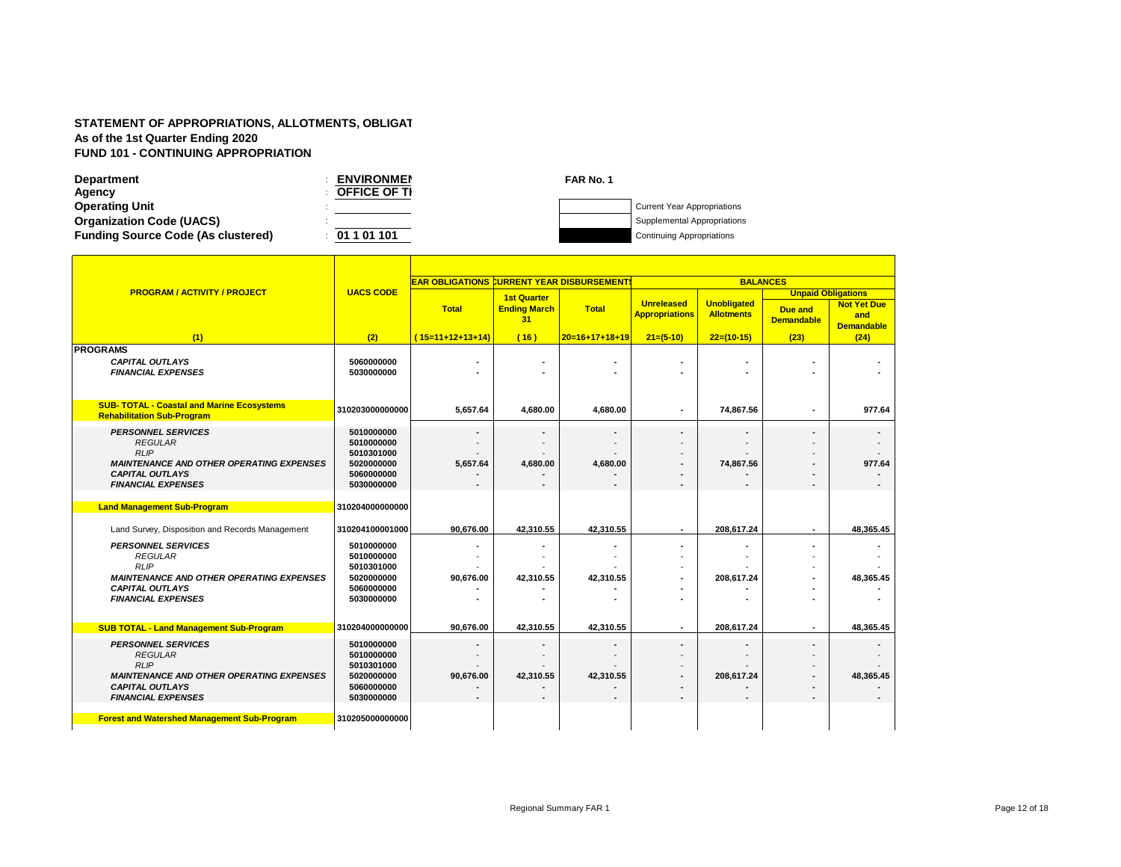$\blacksquare$ 

| <b>Department</b>                         | <b>ENVIRONMEN</b>   | FAR No. 1 |                                    |
|-------------------------------------------|---------------------|-----------|------------------------------------|
| Agency                                    | <b>OFFICE OF TI</b> |           |                                    |
| <b>Operating Unit</b>                     |                     |           | <b>Current Year Appropriations</b> |
| <b>Organization Code (UACS)</b>           |                     |           | Supplemental Appropriations        |
| <b>Funding Source Code (As clustered)</b> | 01 1 01 101         |           | <b>Continuing Appropriations</b>   |

Ŧ

Ŧ

|                                                                                                                                                                                                                            |                                                                                                     | <b>EAR OBLIGATIONS CURRENT YEAR DISBURSEMENT!</b> |                                                 |                  |                                            | <b>BALANCES</b>                         |                                                           |                                                |
|----------------------------------------------------------------------------------------------------------------------------------------------------------------------------------------------------------------------------|-----------------------------------------------------------------------------------------------------|---------------------------------------------------|-------------------------------------------------|------------------|--------------------------------------------|-----------------------------------------|-----------------------------------------------------------|------------------------------------------------|
| <b>PROGRAM / ACTIVITY / PROJECT</b>                                                                                                                                                                                        | <b>UACS CODE</b>                                                                                    | <b>Total</b>                                      | <b>1st Quarter</b><br><b>Ending March</b><br>31 | <b>Total</b>     | <b>Unreleased</b><br><b>Appropriations</b> | <b>Unobligated</b><br><b>Allotments</b> | <b>Unpaid Obligations</b><br>Due and<br><b>Demandable</b> | <b>Not Yet Due</b><br>and<br><b>Demandable</b> |
| (1)                                                                                                                                                                                                                        | (2)                                                                                                 | $(15=11+12+13+14)$                                | (16)                                            | $20=16+17+18+19$ | $21=(5-10)$                                | $22=(10-15)$                            | (23)                                                      | (24)                                           |
| <b>PROGRAMS</b><br><b>CAPITAL OUTLAYS</b><br><b>FINANCIAL EXPENSES</b>                                                                                                                                                     | 5060000000<br>5030000000                                                                            |                                                   |                                                 |                  |                                            |                                         |                                                           |                                                |
| <b>SUB- TOTAL - Coastal and Marine Ecosystems</b><br><b>Rehabilitation Sub-Program</b>                                                                                                                                     | 310203000000000                                                                                     | 5.657.64                                          | 4,680.00                                        | 4.680.00         | $\overline{\phantom{a}}$                   | 74,867.56                               |                                                           | 977.64                                         |
| <b>PERSONNEL SERVICES</b><br><b>REGULAR</b><br><b>RLIP</b><br><b>MAINTENANCE AND OTHER OPERATING EXPENSES</b><br><b>CAPITAL OUTLAYS</b><br><b>FINANCIAL EXPENSES</b>                                                       | 5010000000<br>5010000000<br>5010301000<br>5020000000<br>5060000000<br>5030000000                    | 5,657.64                                          | $\overline{a}$<br>4,680.00                      | 4,680.00         |                                            | 74,867.56                               |                                                           | 977.64                                         |
| <b>Land Management Sub-Program</b>                                                                                                                                                                                         | 310204000000000                                                                                     |                                                   |                                                 |                  |                                            |                                         |                                                           |                                                |
| Land Survey, Disposition and Records Management                                                                                                                                                                            | 310204100001000                                                                                     | 90.676.00                                         | 42,310.55                                       | 42,310.55        | $\overline{\phantom{a}}$                   | 208.617.24                              | ٠                                                         | 48,365.45                                      |
| <b>PERSONNEL SERVICES</b><br><b>REGULAR</b><br><b>RLIP</b><br><b>MAINTENANCE AND OTHER OPERATING EXPENSES</b><br><b>CAPITAL OUTLAYS</b><br><b>FINANCIAL EXPENSES</b>                                                       | 5010000000<br>5010000000<br>5010301000<br>5020000000<br>5060000000<br>5030000000                    | 90,676.00                                         | 42,310.55                                       | 42,310.55        | ۰                                          | 208,617.24                              |                                                           | 48,365.45                                      |
| <b>SUB TOTAL - Land Management Sub-Program</b>                                                                                                                                                                             | 310204000000000                                                                                     | 90,676.00                                         | 42,310.55                                       | 42,310.55        |                                            | 208,617.24                              |                                                           | 48,365.45                                      |
| <b>PERSONNEL SERVICES</b><br><b>REGULAR</b><br><b>RLIP</b><br><b>MAINTENANCE AND OTHER OPERATING EXPENSES</b><br><b>CAPITAL OUTLAYS</b><br><b>FINANCIAL EXPENSES</b><br><b>Forest and Watershed Management Sub-Program</b> | 5010000000<br>5010000000<br>5010301000<br>5020000000<br>5060000000<br>5030000000<br>310205000000000 | 90,676.00                                         | 42,310.55                                       | 42,310.55        |                                            | 208,617.24                              |                                                           | 48,365.45                                      |

٠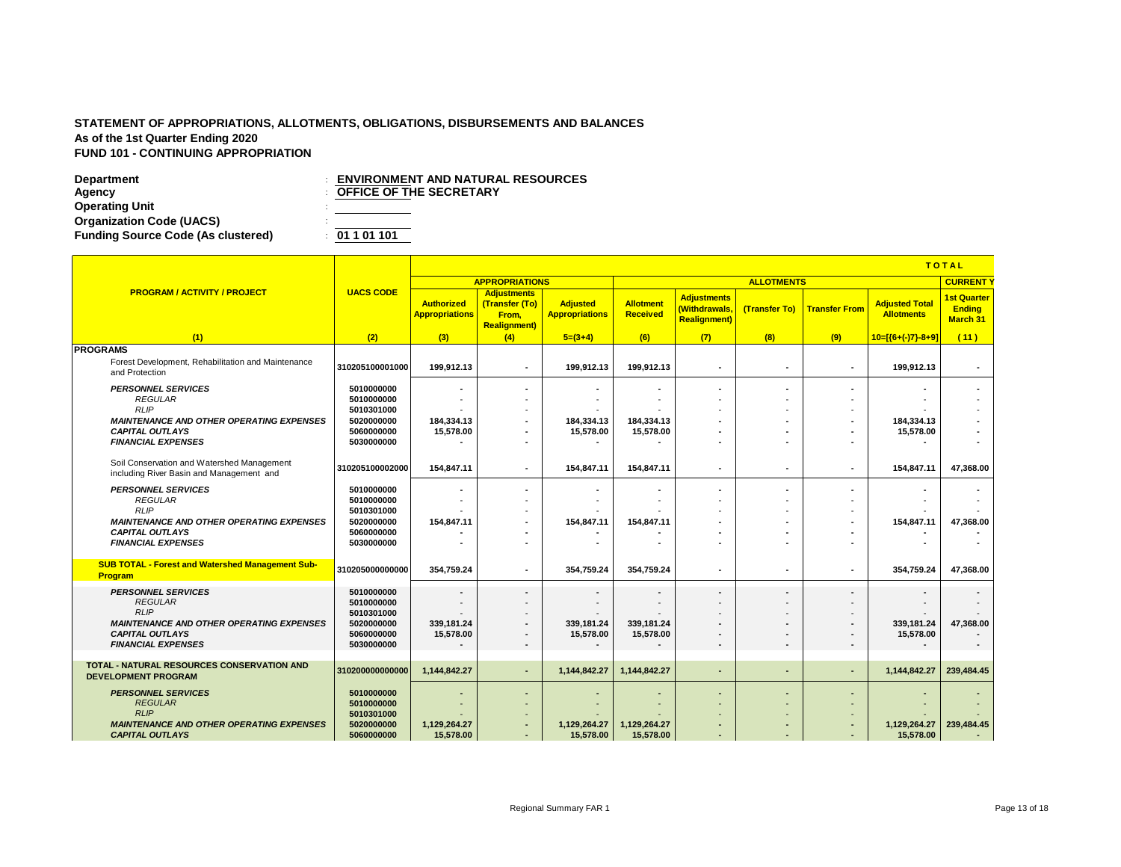|                                                                                        |                  |                                            | <b>TOTAL</b>                                                          |                                          |                       |                                                            |                          |                          |                                            |                                                        |  |
|----------------------------------------------------------------------------------------|------------------|--------------------------------------------|-----------------------------------------------------------------------|------------------------------------------|-----------------------|------------------------------------------------------------|--------------------------|--------------------------|--------------------------------------------|--------------------------------------------------------|--|
|                                                                                        |                  |                                            | <b>APPROPRIATIONS</b>                                                 |                                          |                       |                                                            | <b>ALLOTMENTS</b>        |                          |                                            | <b>CURRENT</b>                                         |  |
| <b>PROGRAM / ACTIVITY / PROJECT</b>                                                    | <b>UACS CODE</b> | <b>Authorized</b><br><b>Appropriations</b> | <b>Adjustments</b><br>(Transfer (To)<br>From,<br><b>Realignment</b> ) | <b>Adjusted</b><br><b>Appropriations</b> | Allotment<br>Received | <b>Adjustments</b><br>(Withdrawals,<br><b>Realignment)</b> | (Transfer To)            | <b>Transfer From</b>     | <b>Adjusted Total</b><br><b>Allotments</b> | <b>1st Quarter</b><br><b>Ending</b><br><b>March 31</b> |  |
| (1)                                                                                    | (2)              | (3)                                        | (4)                                                                   | $5=(3+4)$                                | (6)                   | (7)                                                        | (8)                      | (9)                      | $10=[(6+(-)7)-8+9]$                        | (11)                                                   |  |
| <b>PROGRAMS</b>                                                                        |                  |                                            |                                                                       |                                          |                       |                                                            |                          |                          |                                            |                                                        |  |
| Forest Development, Rehabilitation and Maintenance<br>and Protection                   | 310205100001000  | 199,912.13                                 | $\blacksquare$                                                        | 199,912.13                               | 199,912.13            | ٠                                                          |                          | $\overline{\phantom{a}}$ | 199,912.13                                 | $\blacksquare$                                         |  |
| <b>PERSONNEL SERVICES</b>                                                              | 5010000000       |                                            |                                                                       |                                          | ٠                     | $\blacksquare$                                             |                          |                          |                                            |                                                        |  |
| <b>REGULAR</b>                                                                         | 5010000000       |                                            |                                                                       |                                          |                       |                                                            |                          |                          |                                            |                                                        |  |
| RLIP                                                                                   | 5010301000       |                                            |                                                                       |                                          |                       |                                                            |                          |                          |                                            |                                                        |  |
| <b>MAINTENANCE AND OTHER OPERATING EXPENSES</b>                                        | 5020000000       | 184,334.13                                 | $\blacksquare$                                                        | 184,334.13                               | 184,334.13            | ۰                                                          |                          | $\overline{\phantom{a}}$ | 184,334.13                                 |                                                        |  |
| <b>CAPITAL OUTLAYS</b>                                                                 | 5060000000       | 15,578.00                                  |                                                                       | 15,578.00                                | 15,578.00             | ٠                                                          |                          |                          | 15,578.00                                  |                                                        |  |
| <b>FINANCIAL EXPENSES</b>                                                              | 5030000000       |                                            | $\overline{\phantom{a}}$                                              |                                          |                       | ٠                                                          |                          |                          |                                            |                                                        |  |
|                                                                                        |                  |                                            |                                                                       |                                          |                       |                                                            |                          |                          |                                            |                                                        |  |
| Soil Conservation and Watershed Management<br>including River Basin and Management and | 310205100002000  | 154,847.11                                 | $\sim$                                                                | 154,847.11                               | 154,847.11            | $\blacksquare$                                             | $\overline{\phantom{a}}$ | $\blacksquare$           | 154,847.11                                 | 47,368.00                                              |  |
| <b>PERSONNEL SERVICES</b>                                                              | 5010000000       |                                            | $\overline{\phantom{a}}$                                              |                                          | ٠                     | ٠                                                          |                          | $\overline{\phantom{a}}$ |                                            |                                                        |  |
| <b>REGULAR</b>                                                                         | 5010000000       |                                            |                                                                       |                                          |                       |                                                            |                          |                          |                                            |                                                        |  |
| <b>RLIP</b>                                                                            | 5010301000       |                                            |                                                                       |                                          |                       |                                                            |                          |                          |                                            |                                                        |  |
| <b>MAINTENANCE AND OTHER OPERATING EXPENSES</b>                                        | 5020000000       | 154,847.11                                 | $\blacksquare$                                                        | 154,847.11                               | 154,847.11            | ٠                                                          |                          | $\blacksquare$           | 154,847.11                                 | 47,368.00                                              |  |
| <b>CAPITAL OUTLAYS</b>                                                                 | 5060000000       |                                            |                                                                       |                                          |                       | ٠                                                          |                          |                          |                                            |                                                        |  |
| <b>FINANCIAL EXPENSES</b>                                                              | 5030000000       |                                            |                                                                       |                                          |                       |                                                            |                          |                          |                                            |                                                        |  |
|                                                                                        |                  |                                            |                                                                       |                                          |                       |                                                            |                          |                          |                                            |                                                        |  |
| <b>SUB TOTAL - Forest and Watershed Management Sub-</b><br>Program                     | 310205000000000  | 354,759.24                                 |                                                                       | 354,759.24                               | 354,759.24            | ٠                                                          |                          | ۰                        | 354,759.24                                 | 47,368.00                                              |  |
| <b>PERSONNEL SERVICES</b>                                                              | 5010000000       | $\overline{\phantom{a}}$                   |                                                                       |                                          | ٠                     | ٠                                                          |                          | $\overline{\phantom{a}}$ |                                            |                                                        |  |
| <b>REGULAR</b>                                                                         | 5010000000       |                                            |                                                                       |                                          |                       |                                                            |                          |                          |                                            |                                                        |  |
| <b>RLIP</b>                                                                            | 5010301000       |                                            | $\overline{\phantom{a}}$                                              |                                          |                       | $\overline{\phantom{a}}$                                   |                          |                          |                                            |                                                        |  |
| <b>MAINTENANCE AND OTHER OPERATING EXPENSES</b>                                        | 5020000000       | 339,181.24                                 |                                                                       | 339,181.24                               | 339,181.24            | $\blacksquare$                                             |                          | $\blacksquare$           | 339,181.24                                 | 47,368.00                                              |  |
| <b>CAPITAL OUTLAYS</b>                                                                 | 5060000000       | 15,578.00                                  | $\overline{\phantom{a}}$                                              | 15,578.00                                | 15,578.00             | ٠                                                          |                          | $\overline{\phantom{a}}$ | 15,578.00                                  |                                                        |  |
| <b>FINANCIAL EXPENSES</b>                                                              | 5030000000       |                                            |                                                                       |                                          |                       | ٠                                                          |                          |                          |                                            |                                                        |  |
|                                                                                        |                  |                                            |                                                                       |                                          |                       |                                                            |                          |                          |                                            |                                                        |  |
| <b>TOTAL - NATURAL RESOURCES CONSERVATION AND</b><br><b>DEVELOPMENT PROGRAM</b>        | 310200000000000  | 1.144.842.27                               | $\overline{\phantom{a}}$                                              | 1.144.842.27                             | 1.144.842.27          | $\sim$                                                     | $\overline{\phantom{a}}$ | $\sim$                   | 1.144.842.27                               | 239.484.45                                             |  |
| <b>PERSONNEL SERVICES</b>                                                              | 5010000000       |                                            |                                                                       |                                          |                       |                                                            |                          |                          |                                            |                                                        |  |
| <b>REGULAR</b>                                                                         | 5010000000       |                                            |                                                                       |                                          |                       |                                                            |                          |                          |                                            |                                                        |  |
| <b>RLIP</b>                                                                            | 5010301000       |                                            |                                                                       |                                          |                       |                                                            |                          |                          |                                            |                                                        |  |
| <b>MAINTENANCE AND OTHER OPERATING EXPENSES</b>                                        | 5020000000       | 1,129,264.27                               |                                                                       | 1,129,264.27                             | 1,129,264.27          | ٠                                                          |                          | ٠                        | 1,129,264.27                               | 239,484.45                                             |  |
| <b>CAPITAL OUTLAYS</b>                                                                 | 5060000000       | 15,578.00                                  | $\sim$                                                                | 15,578.00                                | 15,578.00             | ٠                                                          |                          |                          | 15,578.00                                  |                                                        |  |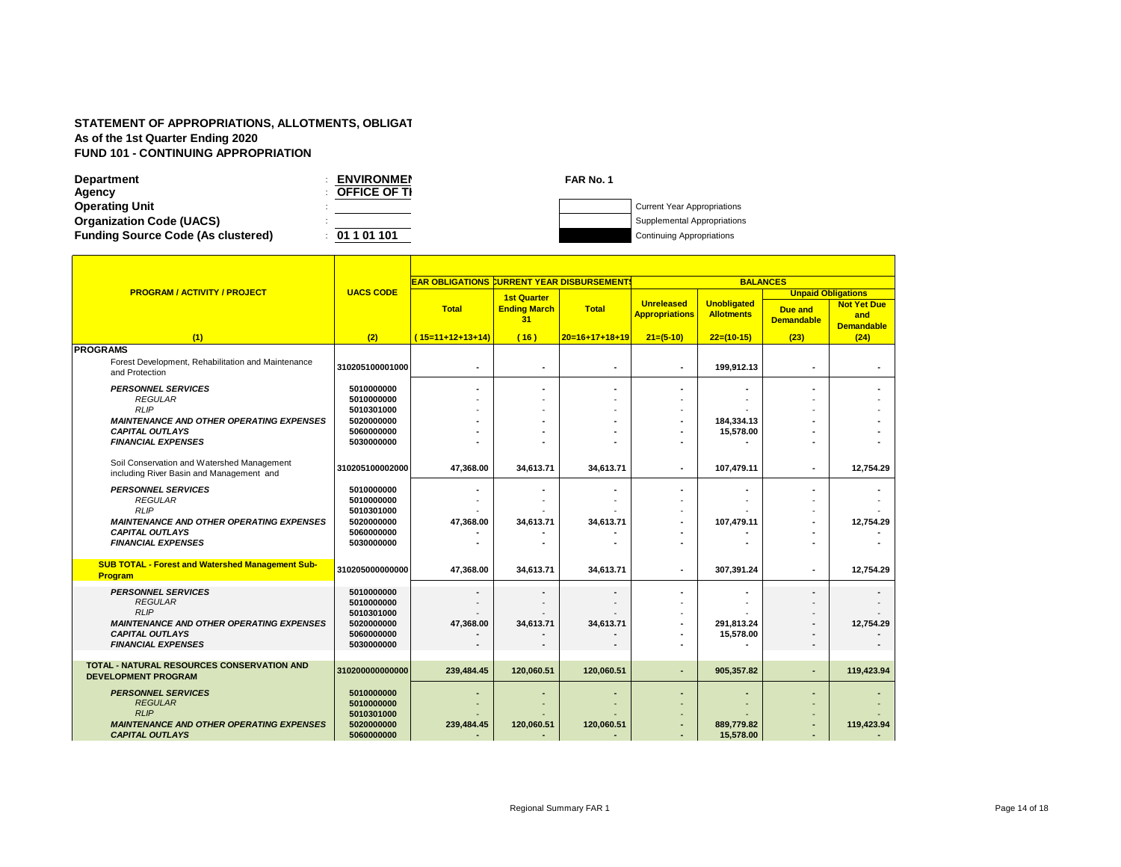Г

| <b>Department</b>                         | <b>ENVIRONMEN</b>   | FAR No. 1 |                                    |
|-------------------------------------------|---------------------|-----------|------------------------------------|
| Agency                                    | <b>OFFICE OF TI</b> |           |                                    |
| <b>Operating Unit</b>                     |                     |           | <b>Current Year Appropriations</b> |
| <b>Organization Code (UACS)</b>           |                     |           | Supplemental Appropriations        |
| <b>Funding Source Code (As clustered)</b> | 01 1 01 101         |           | <b>Continuing Appropriations</b>   |

|                                                                                        |                  | <b>EAR OBLIGATIONS CURRENT YEAR DISBURSEMENTS</b> |                           |                  |                                            | <b>BALANCES</b>                         |                              |                                                |
|----------------------------------------------------------------------------------------|------------------|---------------------------------------------------|---------------------------|------------------|--------------------------------------------|-----------------------------------------|------------------------------|------------------------------------------------|
| <b>PROGRAM / ACTIVITY / PROJECT</b>                                                    | <b>UACS CODE</b> |                                                   | <b>1st Quarter</b>        |                  |                                            |                                         | <b>Unpaid Obligations</b>    |                                                |
|                                                                                        |                  | <b>Total</b>                                      | <b>Ending March</b><br>31 | <b>Total</b>     | <b>Unreleased</b><br><b>Appropriations</b> | <b>Unobligated</b><br><b>Allotments</b> | Due and<br><b>Demandable</b> | <b>Not Yet Due</b><br>and<br><b>Demandable</b> |
| (1)                                                                                    | (2)              | $(15=11+12+13+14)$                                | (16)                      | $20=16+17+18+19$ | $21=(5-10)$                                | $22=(10-15)$                            | (23)                         | (24)                                           |
| <b>PROGRAMS</b>                                                                        |                  |                                                   |                           |                  |                                            |                                         |                              |                                                |
| Forest Development, Rehabilitation and Maintenance<br>and Protection                   | 310205100001000  |                                                   |                           | $\blacksquare$   | ٠                                          | 199.912.13                              | $\overline{\phantom{a}}$     |                                                |
| <b>PERSONNEL SERVICES</b>                                                              | 5010000000       |                                                   |                           |                  |                                            |                                         |                              |                                                |
| <b>REGULAR</b>                                                                         | 5010000000       |                                                   |                           |                  |                                            |                                         |                              |                                                |
| <b>RLIP</b>                                                                            | 5010301000       |                                                   |                           |                  |                                            |                                         |                              |                                                |
| <b>MAINTENANCE AND OTHER OPERATING EXPENSES</b>                                        | 5020000000       |                                                   |                           |                  |                                            | 184,334.13                              |                              |                                                |
| <b>CAPITAL OUTLAYS</b>                                                                 | 5060000000       |                                                   |                           |                  |                                            | 15.578.00                               |                              |                                                |
| <b>FINANCIAL EXPENSES</b>                                                              | 5030000000       |                                                   |                           |                  |                                            |                                         |                              |                                                |
|                                                                                        |                  |                                                   |                           |                  |                                            |                                         |                              |                                                |
| Soil Conservation and Watershed Management<br>including River Basin and Management and | 310205100002000  | 47,368.00                                         | 34,613.71                 | 34,613.71        | ٠                                          | 107,479.11                              | $\overline{\phantom{a}}$     | 12,754.29                                      |
| <b>PERSONNEL SERVICES</b>                                                              | 5010000000       |                                                   |                           |                  |                                            |                                         |                              |                                                |
| <b>REGULAR</b>                                                                         | 5010000000       |                                                   |                           |                  |                                            |                                         |                              |                                                |
| <b>RLIP</b>                                                                            | 5010301000       |                                                   |                           |                  |                                            |                                         |                              |                                                |
| <b>MAINTENANCE AND OTHER OPERATING EXPENSES</b>                                        | 5020000000       | 47,368.00                                         | 34,613.71                 | 34,613.71        |                                            | 107,479.11                              |                              | 12,754.29                                      |
| <b>CAPITAL OUTLAYS</b>                                                                 | 5060000000       |                                                   |                           |                  |                                            |                                         |                              |                                                |
| <b>FINANCIAL EXPENSES</b>                                                              | 5030000000       |                                                   |                           |                  |                                            |                                         |                              |                                                |
| <b>SUB TOTAL - Forest and Watershed Management Sub-</b><br>Program                     | 310205000000000  | 47,368.00                                         | 34,613.71                 | 34,613.71        | ٠                                          | 307,391.24                              |                              | 12,754.29                                      |
| <b>PERSONNEL SERVICES</b>                                                              | 5010000000       |                                                   |                           |                  |                                            |                                         |                              |                                                |
| <b>REGULAR</b>                                                                         | 5010000000       |                                                   |                           |                  |                                            |                                         |                              |                                                |
| <b>RLIP</b>                                                                            | 5010301000       |                                                   |                           |                  |                                            |                                         |                              |                                                |
| <b>MAINTENANCE AND OTHER OPERATING EXPENSES</b>                                        | 5020000000       | 47,368.00                                         | 34,613.71                 | 34,613.71        |                                            | 291,813.24                              |                              | 12,754.29                                      |
| <b>CAPITAL OUTLAYS</b>                                                                 | 5060000000       |                                                   |                           |                  |                                            | 15.578.00                               |                              |                                                |
| <b>FINANCIAL EXPENSES</b>                                                              | 5030000000       |                                                   |                           |                  |                                            |                                         |                              |                                                |
|                                                                                        |                  |                                                   |                           |                  |                                            |                                         |                              |                                                |
| <b>TOTAL - NATURAL RESOURCES CONSERVATION AND</b><br><b>DEVELOPMENT PROGRAM</b>        | 310200000000000  | 239,484.45                                        | 120,060.51                | 120,060.51       |                                            | 905,357.82                              |                              | 119,423.94                                     |
| <b>PERSONNEL SERVICES</b>                                                              | 5010000000       |                                                   |                           |                  |                                            |                                         |                              |                                                |
| <b>REGULAR</b>                                                                         | 5010000000       |                                                   |                           |                  |                                            |                                         |                              |                                                |
| <b>RLIP</b>                                                                            | 5010301000       |                                                   |                           |                  |                                            |                                         |                              |                                                |
| <b>MAINTENANCE AND OTHER OPERATING EXPENSES</b>                                        | 5020000000       | 239,484.45                                        | 120,060.51                | 120,060.51       |                                            | 889,779.82                              |                              | 119,423.94                                     |
| <b>CAPITAL OUTLAYS</b>                                                                 | 5060000000       |                                                   |                           |                  |                                            | 15,578.00                               |                              |                                                |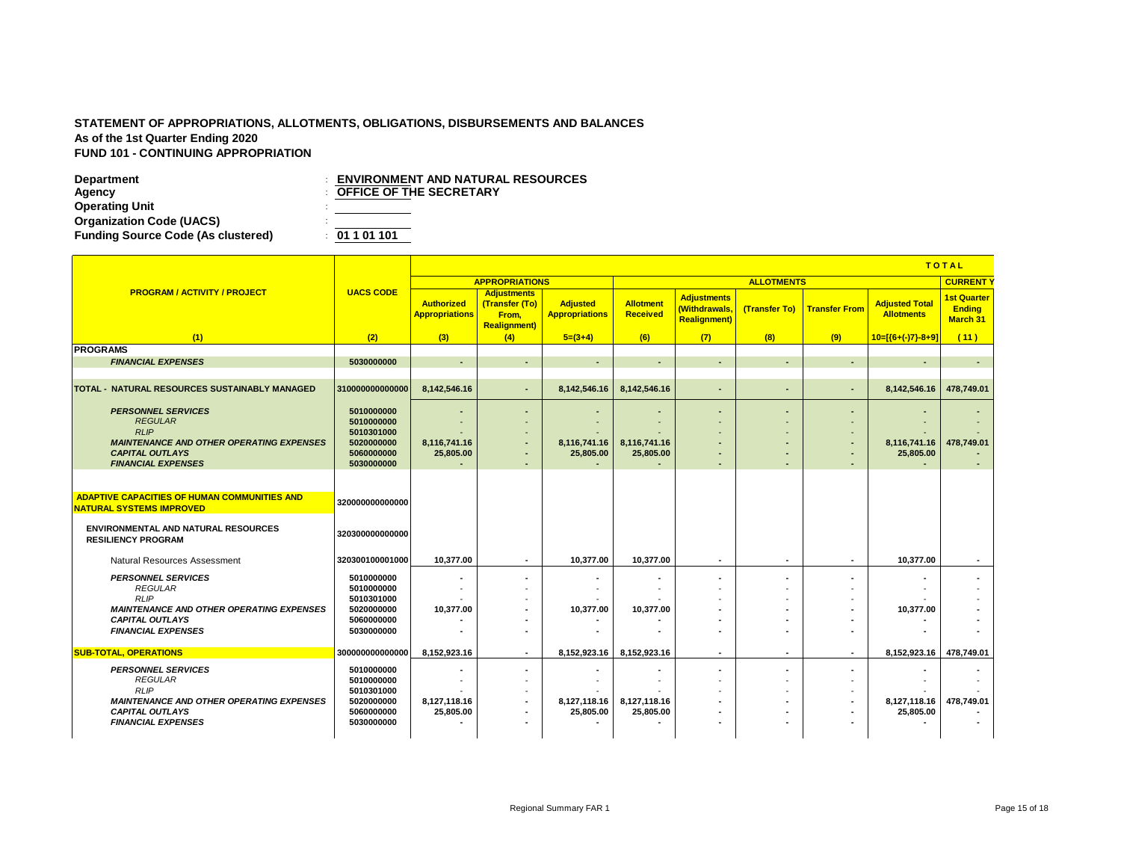**Department**<br> **Department**<br> **DEFICE OF THE SECRETARY**<br> **DEFICE OF THE SECRETARY Operating Unit** : **Organization Code (UACS)** : **Funding Source Code (As clustered)** : **01 1 01 101**

**OFFICE OF THE SECRETARY** 

|                                                                                        |                          |                                            |                                                                       |                                          |                                     |                                                                   |                          |                          |                                            | <b>TOTAL</b>                                           |
|----------------------------------------------------------------------------------------|--------------------------|--------------------------------------------|-----------------------------------------------------------------------|------------------------------------------|-------------------------------------|-------------------------------------------------------------------|--------------------------|--------------------------|--------------------------------------------|--------------------------------------------------------|
|                                                                                        |                          |                                            | <b>APPROPRIATIONS</b>                                                 |                                          |                                     |                                                                   | <b>ALLOTMENTS</b>        |                          |                                            | <b>CURRENT</b>                                         |
| <b>PROGRAM / ACTIVITY / PROJECT</b>                                                    | <b>UACS CODE</b>         | <b>Authorized</b><br><b>Appropriations</b> | <b>Adjustments</b><br>(Transfer (To)<br>From.<br><b>Realignment</b> ) | <b>Adjusted</b><br><b>Appropriations</b> | <b>Allotment</b><br><b>Received</b> | <b>Adjustments</b><br><b>Withdrawals,</b><br><b>Realignment</b> ) | (Transfer To)            | <b>Transfer From</b>     | <b>Adjusted Total</b><br><b>Allotments</b> | <b>1st Quarter</b><br><b>Ending</b><br><b>March 31</b> |
| (1)                                                                                    | (2)                      | (3)                                        | (4)                                                                   | $5=(3+4)$                                | (6)                                 | (7)                                                               | (8)                      | (9)                      | $10=[(6+(-)7)-8+9]$                        | (11)                                                   |
| <b>PROGRAMS</b>                                                                        |                          |                                            |                                                                       |                                          |                                     |                                                                   |                          |                          |                                            |                                                        |
| <b>FINANCIAL EXPENSES</b>                                                              | 5030000000               | $\sim$                                     | ٠                                                                     | $\blacksquare$                           | $\overline{\phantom{a}}$            | $\sim$                                                            |                          | $\blacksquare$           |                                            | $\overline{a}$                                         |
|                                                                                        |                          |                                            |                                                                       |                                          |                                     |                                                                   |                          |                          |                                            |                                                        |
| TOTAL - NATURAL RESOURCES SUSTAINABLY MANAGED                                          | 310000000000000          | 8,142,546.16                               | $\sim$                                                                | 8,142,546.16                             | 8,142,546.16                        | $\sim$                                                            |                          | $\blacksquare$           | 8,142,546.16                               | 478,749.01                                             |
|                                                                                        |                          |                                            |                                                                       |                                          |                                     |                                                                   |                          |                          |                                            |                                                        |
| <b>PERSONNEL SERVICES</b>                                                              | 5010000000               | $\sim$                                     | ٠                                                                     | $\blacksquare$                           |                                     | $\blacksquare$                                                    |                          | $\blacksquare$           |                                            |                                                        |
| <b>REGULAR</b><br><b>RLIP</b>                                                          | 5010000000               | $\sim$                                     | $\overline{\phantom{a}}$                                              | $\overline{\phantom{a}}$                 |                                     |                                                                   |                          | $\overline{\phantom{a}}$ |                                            |                                                        |
| <b>MAINTENANCE AND OTHER OPERATING EXPENSES</b>                                        | 5010301000<br>5020000000 | 8,116,741.16                               | ٠                                                                     | 8,116,741.16                             | 8,116,741.16                        | $\overline{a}$                                                    |                          | ٠<br>$\blacksquare$      | 8,116,741.16                               | 478,749.01                                             |
| <b>CAPITAL OUTLAYS</b>                                                                 | 5060000000               | 25,805.00                                  | ٠                                                                     | 25,805.00                                | 25,805.00                           |                                                                   |                          | $\overline{\phantom{a}}$ | 25,805.00                                  |                                                        |
| <b>FINANCIAL EXPENSES</b>                                                              | 5030000000               |                                            | $\overline{\phantom{a}}$                                              |                                          |                                     | $\overline{\phantom{a}}$                                          |                          | $\overline{\phantom{a}}$ |                                            |                                                        |
| <b>ADAPTIVE CAPACITIES OF HUMAN COMMUNITIES AND</b><br><b>NATURAL SYSTEMS IMPROVED</b> | 320000000000000          |                                            |                                                                       |                                          |                                     |                                                                   |                          |                          |                                            |                                                        |
| <b>ENVIRONMENTAL AND NATURAL RESOURCES</b><br><b>RESILIENCY PROGRAM</b>                | 320300000000000          |                                            |                                                                       |                                          |                                     |                                                                   |                          |                          |                                            |                                                        |
| <b>Natural Resources Assessment</b>                                                    | 320300100001000          | 10.377.00                                  | $\sim$                                                                | 10.377.00                                | 10.377.00                           | ٠                                                                 | $\overline{\phantom{a}}$ | $\overline{\phantom{a}}$ | 10.377.00                                  | ٠                                                      |
| <b>PERSONNEL SERVICES</b>                                                              | 5010000000               | $\overline{\phantom{a}}$                   | ۰                                                                     |                                          |                                     |                                                                   |                          | $\blacksquare$           |                                            |                                                        |
| <b>REGULAR</b>                                                                         | 5010000000               | $\sim$                                     | $\overline{\phantom{a}}$                                              |                                          |                                     |                                                                   |                          | $\overline{\phantom{a}}$ |                                            |                                                        |
| <b>RLIP</b>                                                                            | 5010301000               |                                            |                                                                       |                                          |                                     |                                                                   |                          |                          |                                            |                                                        |
| <b>MAINTENANCE AND OTHER OPERATING EXPENSES</b>                                        | 5020000000               | 10,377.00                                  | ۰                                                                     | 10.377.00                                | 10.377.00                           |                                                                   |                          |                          | 10.377.00                                  |                                                        |
| <b>CAPITAL OUTLAYS</b><br><b>FINANCIAL EXPENSES</b>                                    | 5060000000<br>5030000000 |                                            | ٠<br>٠                                                                | $\blacksquare$                           |                                     | $\overline{\phantom{a}}$                                          |                          | $\blacksquare$           |                                            |                                                        |
|                                                                                        |                          |                                            |                                                                       |                                          |                                     |                                                                   |                          |                          |                                            |                                                        |
| <b>SUB-TOTAL, OPERATIONS</b>                                                           | 300000000000000          | 8.152.923.16                               | $\sim$                                                                | 8.152.923.16                             | 8.152.923.16                        | $\overline{\phantom{a}}$                                          |                          | $\overline{\phantom{a}}$ | 8.152.923.16 478.749.01                    |                                                        |
| <b>PERSONNEL SERVICES</b>                                                              | 5010000000               | ٠                                          | ٠                                                                     |                                          | $\blacksquare$                      |                                                                   |                          | $\blacksquare$           |                                            |                                                        |
| <b>REGULAR</b>                                                                         | 5010000000               | $\sim$                                     | $\blacksquare$                                                        |                                          |                                     |                                                                   |                          | $\overline{\phantom{a}}$ |                                            |                                                        |
| <b>RLIP</b>                                                                            | 5010301000               |                                            | $\blacksquare$                                                        |                                          |                                     |                                                                   |                          | $\overline{\phantom{a}}$ |                                            |                                                        |
| <b>MAINTENANCE AND OTHER OPERATING EXPENSES</b>                                        | 5020000000               | 8,127,118.16                               | $\overline{\phantom{a}}$                                              | 8,127,118.16                             | 8,127,118.16                        | $\overline{\phantom{a}}$                                          |                          | $\blacksquare$           | 8,127,118.16                               | 478,749.01                                             |
| <b>CAPITAL OUTLAYS</b>                                                                 | 5060000000               | 25,805.00                                  | ٠                                                                     | 25,805.00                                | 25,805.00                           | $\overline{\phantom{a}}$                                          |                          | $\blacksquare$           | 25,805.00                                  |                                                        |
| <b>FINANCIAL EXPENSES</b>                                                              | 5030000000               |                                            |                                                                       |                                          |                                     |                                                                   |                          |                          |                                            |                                                        |
|                                                                                        |                          |                                            |                                                                       |                                          |                                     |                                                                   |                          |                          |                                            |                                                        |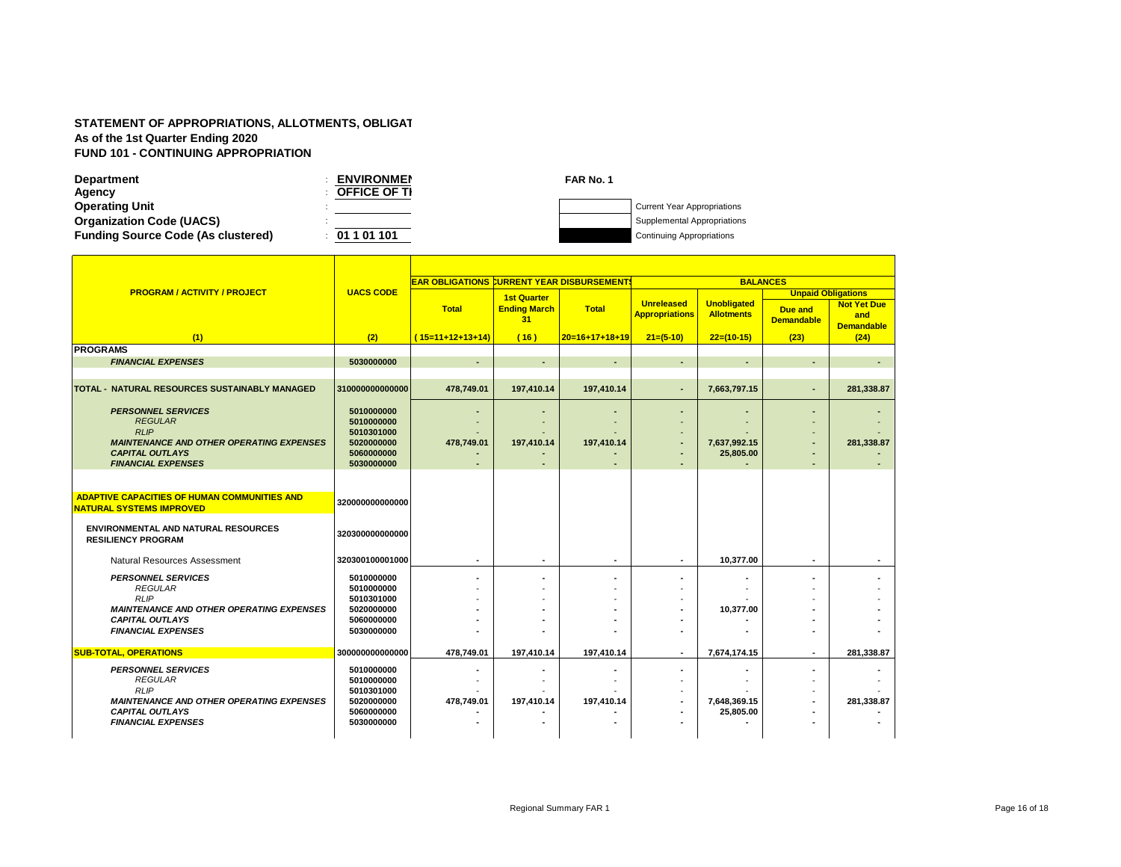| <b>Department</b>                         | <b>ENVIRONMEN</b>   | FAR No. 1 |                                    |
|-------------------------------------------|---------------------|-----------|------------------------------------|
| Agency                                    | <b>OFFICE OF TI</b> |           |                                    |
| <b>Operating Unit</b>                     |                     |           | <b>Current Year Appropriations</b> |
| <b>Organization Code (UACS)</b>           |                     |           | Supplemental Appropriations        |
| <b>Funding Source Code (As clustered)</b> | 01 1 01 101         |           | <b>Continuing Appropriations</b>   |

|                                                     | <b>UACS CODE</b>         | <b>EAR OBLIGATIONS CURRENT YEAR DISBURSEMENTS</b> |                           |                  | <b>BALANCES</b>                            |                                         |                              |                                                |  |
|-----------------------------------------------------|--------------------------|---------------------------------------------------|---------------------------|------------------|--------------------------------------------|-----------------------------------------|------------------------------|------------------------------------------------|--|
| <b>PROGRAM / ACTIVITY / PROJECT</b>                 |                          |                                                   | <b>1st Quarter</b>        |                  |                                            |                                         | <b>Unpaid Obligations</b>    |                                                |  |
|                                                     |                          | <b>Total</b>                                      | <b>Ending March</b><br>31 | <b>Total</b>     | <b>Unreleased</b><br><b>Appropriations</b> | <b>Unobligated</b><br><b>Allotments</b> | Due and<br><b>Demandable</b> | <b>Not Yet Due</b><br>and<br><b>Demandable</b> |  |
| (1)                                                 | (2)                      | $(15=11+12+13+14)$                                | (16)                      | $20=16+17+18+19$ | $21=(5-10)$                                | $22=(10-15)$                            | (23)                         | (24)                                           |  |
| <b>PROGRAMS</b>                                     |                          |                                                   |                           |                  |                                            |                                         |                              |                                                |  |
| <b>FINANCIAL EXPENSES</b>                           | 5030000000               |                                                   | $\overline{\phantom{a}}$  |                  |                                            |                                         |                              |                                                |  |
|                                                     |                          |                                                   |                           |                  |                                            |                                         |                              |                                                |  |
| TOTAL - NATURAL RESOURCES SUSTAINABLY MANAGED       | 310000000000000          | 478,749.01                                        | 197,410.14                | 197,410.14       |                                            | 7,663,797.15                            |                              | 281,338.87                                     |  |
| <b>PERSONNEL SERVICES</b>                           | 5010000000               |                                                   |                           |                  |                                            |                                         |                              |                                                |  |
| <b>REGULAR</b>                                      | 5010000000               |                                                   |                           |                  |                                            |                                         |                              |                                                |  |
| <b>RLIP</b>                                         | 5010301000               |                                                   |                           |                  |                                            |                                         |                              |                                                |  |
| <b>MAINTENANCE AND OTHER OPERATING EXPENSES</b>     | 5020000000               | 478,749.01                                        | 197,410.14                | 197,410.14       | $\overline{\phantom{a}}$                   | 7,637,992.15                            |                              | 281,338.87                                     |  |
| <b>CAPITAL OUTLAYS</b><br><b>FINANCIAL EXPENSES</b> | 5060000000<br>5030000000 |                                                   |                           |                  |                                            | 25,805.00                               |                              |                                                |  |
|                                                     |                          |                                                   |                           |                  |                                            |                                         |                              |                                                |  |
|                                                     |                          |                                                   |                           |                  |                                            |                                         |                              |                                                |  |
| <b>ADAPTIVE CAPACITIES OF HUMAN COMMUNITIES AND</b> |                          |                                                   |                           |                  |                                            |                                         |                              |                                                |  |
| <b>NATURAL SYSTEMS IMPROVED</b>                     | 320000000000000          |                                                   |                           |                  |                                            |                                         |                              |                                                |  |
| <b>ENVIRONMENTAL AND NATURAL RESOURCES</b>          |                          |                                                   |                           |                  |                                            |                                         |                              |                                                |  |
| <b>RESILIENCY PROGRAM</b>                           | 320300000000000          |                                                   |                           |                  |                                            |                                         |                              |                                                |  |
|                                                     |                          |                                                   |                           |                  |                                            |                                         |                              |                                                |  |
| Natural Resources Assessment                        | 320300100001000          | $\blacksquare$                                    | ٠                         | ۰                |                                            | 10,377.00                               | ۰                            |                                                |  |
| <b>PERSONNEL SERVICES</b>                           | 5010000000               |                                                   |                           |                  |                                            |                                         |                              |                                                |  |
| <b>REGULAR</b>                                      | 5010000000               |                                                   |                           |                  |                                            |                                         |                              |                                                |  |
| <b>RLIP</b>                                         | 5010301000               |                                                   |                           |                  |                                            |                                         |                              |                                                |  |
| <b>MAINTENANCE AND OTHER OPERATING EXPENSES</b>     | 5020000000               |                                                   |                           |                  |                                            | 10,377.00                               |                              |                                                |  |
| <b>CAPITAL OUTLAYS</b><br><b>FINANCIAL EXPENSES</b> | 5060000000               |                                                   |                           |                  |                                            |                                         |                              |                                                |  |
|                                                     | 5030000000               |                                                   |                           |                  |                                            |                                         |                              |                                                |  |
| <b>SUB-TOTAL, OPERATIONS</b>                        | 300000000000000          | 478.749.01                                        | 197.410.14                | 197.410.14       | ۰.                                         | 7.674.174.15                            |                              | 281.338.87                                     |  |
|                                                     |                          |                                                   |                           |                  |                                            |                                         |                              |                                                |  |
| <b>PERSONNEL SERVICES</b><br><b>REGULAR</b>         | 5010000000<br>5010000000 |                                                   |                           |                  |                                            |                                         |                              |                                                |  |
| RIP                                                 | 5010301000               |                                                   |                           |                  |                                            |                                         |                              |                                                |  |
| <b>MAINTENANCE AND OTHER OPERATING EXPENSES</b>     | 5020000000               | 478.749.01                                        | 197.410.14                | 197.410.14       |                                            | 7,648,369.15                            |                              | 281.338.87                                     |  |
| <b>CAPITAL OUTLAYS</b>                              | 5060000000               |                                                   |                           |                  |                                            | 25,805.00                               |                              |                                                |  |
| <b>FINANCIAL EXPENSES</b>                           | 5030000000               |                                                   |                           |                  |                                            |                                         |                              |                                                |  |
|                                                     |                          |                                                   |                           |                  |                                            |                                         |                              |                                                |  |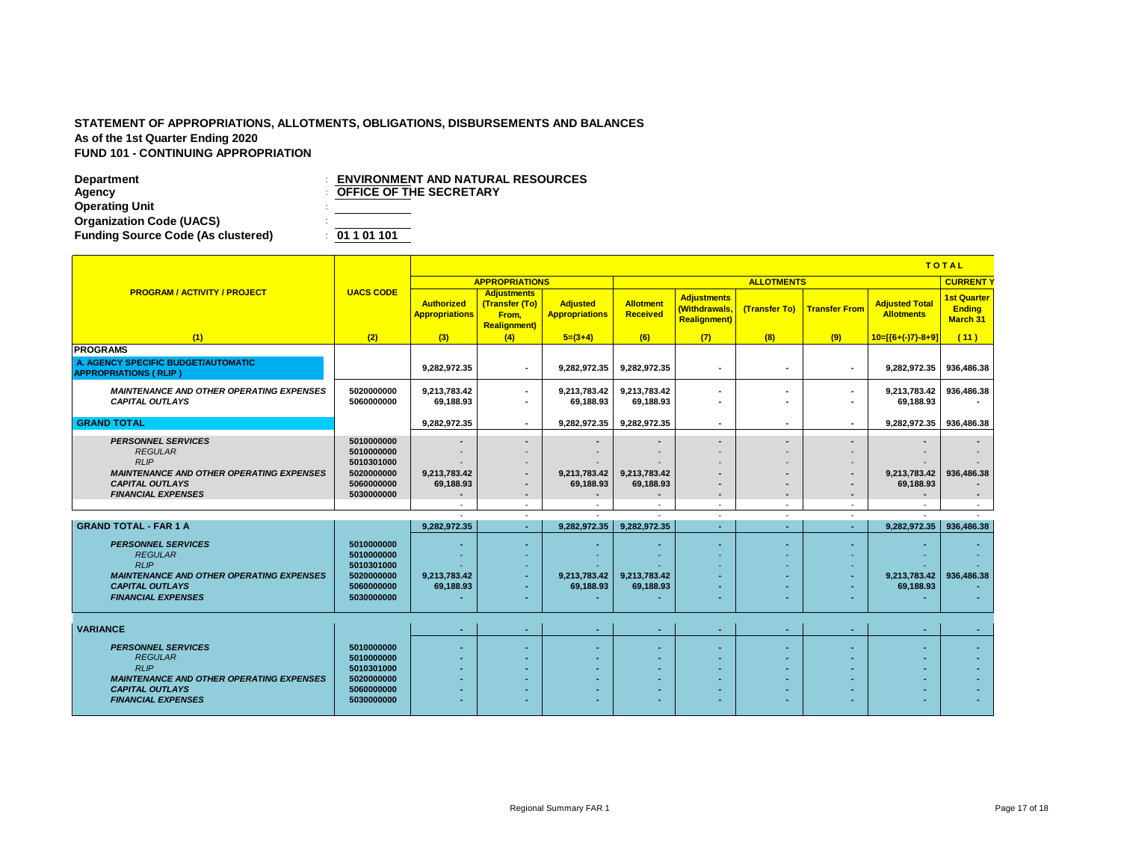| <b>APPROPRIATIONS</b><br><b>ALLOTMENTS</b><br><b>CURRENT</b><br><b>PROGRAM / ACTIVITY / PROJECT</b><br><b>UACS CODE</b><br><b>Adjustments</b><br><b>Adjustments</b><br><b>1st Quarter</b><br><b>Adjusted</b><br><b>Allotment</b><br><b>Adjusted Total</b><br><b>Authorized</b><br>(Transfer (To)<br>(Withdrawals,<br>(Transfer To)<br><b>Transfer From</b><br><b>Ending</b><br><b>Received</b><br><b>Allotments</b><br><b>Appropriations</b><br><b>Appropriations</b><br>From.<br>March 31<br><b>Realignment</b> )<br><b>Realignment</b> )<br>(7)<br>(1)<br>(2)<br>(3)<br>$5=(3+4)$<br>(6)<br>(8)<br>(9)<br>(11)<br>(4)<br>$10=[(6+(-)7)-8+9]$<br>9.282.972.35<br>9.282.972.35<br>9.282.972.35<br>9.282.972.35<br>936.486.38<br>$\blacksquare$<br>$\overline{\phantom{a}}$<br>$\overline{\phantom{a}}$<br><b>MAINTENANCE AND OTHER OPERATING EXPENSES</b><br>5020000000<br>936,486.38<br>9,213,783.42<br>9,213,783.42<br>9,213,783.42<br>9,213,783.42<br>$\sim$<br>$\blacksquare$<br>$\overline{\phantom{a}}$<br><b>CAPITAL OUTLAYS</b><br>5060000000<br>69,188.93<br>69,188.93<br>69,188.93<br>69,188.93<br>٠<br>$\blacksquare$<br>$\overline{\phantom{a}}$<br>9.282.972.35<br>9.282.972.35<br>9.282.972.35<br>9.282.972.35 936.486.38<br>$\sim$<br>$\overline{\phantom{a}}$<br>$\overline{\phantom{a}}$<br>$\blacksquare$<br><b>PERSONNEL SERVICES</b><br>5010000000<br>٠<br>$\overline{\phantom{a}}$<br>$\overline{\phantom{a}}$<br><b>REGULAR</b><br>5010000000<br>$\overline{\phantom{a}}$<br>RLIP<br>5010301000<br>$\overline{\phantom{a}}$<br>$\overline{\phantom{a}}$<br><b>MAINTENANCE AND OTHER OPERATING EXPENSES</b><br>5020000000<br>9,213,783.42<br>9,213,783.42<br>9,213,783.42<br>9,213,783.42<br>936,486.38<br>٠<br>$\blacksquare$<br><b>CAPITAL OUTLAYS</b><br>5060000000<br>69,188.93<br>69,188.93<br>69,188.93<br>69,188.93<br>٠<br>$\blacksquare$<br><b>FINANCIAL EXPENSES</b><br>5030000000<br>$\blacksquare$<br>$\sim$<br>$\overline{\phantom{a}}$<br>$\blacksquare$<br>$\overline{\phantom{a}}$<br>$\overline{\phantom{a}}$<br>$\sim$<br>$\sim$<br>$\overline{\phantom{a}}$<br>$\overline{\phantom{a}}$<br>$\overline{\phantom{a}}$<br>9,282,972.35<br>9.282.972.35<br>9,282,972.35<br>9,282,972.35<br>936,486.38<br>$\sim$<br>. .<br>$\overline{\phantom{a}}$<br><b>PERSONNEL SERVICES</b><br>5010000000<br>۰<br>٠<br>$\overline{\phantom{a}}$<br><b>REGULAR</b><br>5010000000<br>$\overline{\phantom{a}}$<br>۰<br>RLIP<br>5010301000<br>۰.<br>$\overline{\phantom{a}}$<br>5020000000<br><b>MAINTENANCE AND OTHER OPERATING EXPENSES</b><br>9,213,783.42<br>9.213.783.42<br>9,213,783.42<br>9.213.783.42<br>936,486.38<br>٠<br>$\overline{\phantom{a}}$<br>$\overline{\phantom{a}}$<br><b>CAPITAL OUTLAYS</b><br>5060000000<br>69,188.93<br>69,188.93<br>69,188.93<br>69,188.93<br>٠<br>٠<br>$\sim$<br>5030000000<br><b>FINANCIAL EXPENSES</b><br>٠<br>٠<br>٠<br><b>VARIANCE</b><br>н.<br>٠<br>$\overline{\phantom{a}}$<br>$\overline{\phantom{a}}$<br>$\overline{\phantom{a}}$<br><b>PERSONNEL SERVICES</b><br>5010000000<br>٠<br>٠<br>5010000000<br><b>REGULAR</b><br>٠<br><b>RLIP</b><br>5010301000<br><b>MAINTENANCE AND OTHER OPERATING EXPENSES</b><br>5020000000<br>٠<br>۰<br>۰.<br><b>CAPITAL OUTLAYS</b><br>5060000000<br><b>FINANCIAL EXPENSES</b><br>5030000000<br>۰<br>۰<br><b>м.</b> |                                                        |  | <b>TOTAL</b> |  |  |  |  |  |  |  |  |
|----------------------------------------------------------------------------------------------------------------------------------------------------------------------------------------------------------------------------------------------------------------------------------------------------------------------------------------------------------------------------------------------------------------------------------------------------------------------------------------------------------------------------------------------------------------------------------------------------------------------------------------------------------------------------------------------------------------------------------------------------------------------------------------------------------------------------------------------------------------------------------------------------------------------------------------------------------------------------------------------------------------------------------------------------------------------------------------------------------------------------------------------------------------------------------------------------------------------------------------------------------------------------------------------------------------------------------------------------------------------------------------------------------------------------------------------------------------------------------------------------------------------------------------------------------------------------------------------------------------------------------------------------------------------------------------------------------------------------------------------------------------------------------------------------------------------------------------------------------------------------------------------------------------------------------------------------------------------------------------------------------------------------------------------------------------------------------------------------------------------------------------------------------------------------------------------------------------------------------------------------------------------------------------------------------------------------------------------------------------------------------------------------------------------------------------------------------------------------------------------------------------------------------------------------------------------------------------------------------------------------------------------------------------------------------------------------------------------------------------------------------------------------------------------------------------------------------------------------------------------------------------------------------------------------------------------------------------------------------------------------------------------------------------------------------------------------------------------------------------------------------------------------------------------------------------------------------------------------------------------------------------------------------------------------------------------------|--------------------------------------------------------|--|--------------|--|--|--|--|--|--|--|--|
|                                                                                                                                                                                                                                                                                                                                                                                                                                                                                                                                                                                                                                                                                                                                                                                                                                                                                                                                                                                                                                                                                                                                                                                                                                                                                                                                                                                                                                                                                                                                                                                                                                                                                                                                                                                                                                                                                                                                                                                                                                                                                                                                                                                                                                                                                                                                                                                                                                                                                                                                                                                                                                                                                                                                                                                                                                                                                                                                                                                                                                                                                                                                                                                                                                                                                                                            |                                                        |  |              |  |  |  |  |  |  |  |  |
|                                                                                                                                                                                                                                                                                                                                                                                                                                                                                                                                                                                                                                                                                                                                                                                                                                                                                                                                                                                                                                                                                                                                                                                                                                                                                                                                                                                                                                                                                                                                                                                                                                                                                                                                                                                                                                                                                                                                                                                                                                                                                                                                                                                                                                                                                                                                                                                                                                                                                                                                                                                                                                                                                                                                                                                                                                                                                                                                                                                                                                                                                                                                                                                                                                                                                                                            |                                                        |  |              |  |  |  |  |  |  |  |  |
|                                                                                                                                                                                                                                                                                                                                                                                                                                                                                                                                                                                                                                                                                                                                                                                                                                                                                                                                                                                                                                                                                                                                                                                                                                                                                                                                                                                                                                                                                                                                                                                                                                                                                                                                                                                                                                                                                                                                                                                                                                                                                                                                                                                                                                                                                                                                                                                                                                                                                                                                                                                                                                                                                                                                                                                                                                                                                                                                                                                                                                                                                                                                                                                                                                                                                                                            |                                                        |  |              |  |  |  |  |  |  |  |  |
|                                                                                                                                                                                                                                                                                                                                                                                                                                                                                                                                                                                                                                                                                                                                                                                                                                                                                                                                                                                                                                                                                                                                                                                                                                                                                                                                                                                                                                                                                                                                                                                                                                                                                                                                                                                                                                                                                                                                                                                                                                                                                                                                                                                                                                                                                                                                                                                                                                                                                                                                                                                                                                                                                                                                                                                                                                                                                                                                                                                                                                                                                                                                                                                                                                                                                                                            | <b>PROGRAMS</b><br>A. AGENCY SPECIFIC BUDGET/AUTOMATIC |  |              |  |  |  |  |  |  |  |  |
|                                                                                                                                                                                                                                                                                                                                                                                                                                                                                                                                                                                                                                                                                                                                                                                                                                                                                                                                                                                                                                                                                                                                                                                                                                                                                                                                                                                                                                                                                                                                                                                                                                                                                                                                                                                                                                                                                                                                                                                                                                                                                                                                                                                                                                                                                                                                                                                                                                                                                                                                                                                                                                                                                                                                                                                                                                                                                                                                                                                                                                                                                                                                                                                                                                                                                                                            | <b>APPROPRIATIONS (RLIP)</b>                           |  |              |  |  |  |  |  |  |  |  |
|                                                                                                                                                                                                                                                                                                                                                                                                                                                                                                                                                                                                                                                                                                                                                                                                                                                                                                                                                                                                                                                                                                                                                                                                                                                                                                                                                                                                                                                                                                                                                                                                                                                                                                                                                                                                                                                                                                                                                                                                                                                                                                                                                                                                                                                                                                                                                                                                                                                                                                                                                                                                                                                                                                                                                                                                                                                                                                                                                                                                                                                                                                                                                                                                                                                                                                                            |                                                        |  |              |  |  |  |  |  |  |  |  |
|                                                                                                                                                                                                                                                                                                                                                                                                                                                                                                                                                                                                                                                                                                                                                                                                                                                                                                                                                                                                                                                                                                                                                                                                                                                                                                                                                                                                                                                                                                                                                                                                                                                                                                                                                                                                                                                                                                                                                                                                                                                                                                                                                                                                                                                                                                                                                                                                                                                                                                                                                                                                                                                                                                                                                                                                                                                                                                                                                                                                                                                                                                                                                                                                                                                                                                                            |                                                        |  |              |  |  |  |  |  |  |  |  |
|                                                                                                                                                                                                                                                                                                                                                                                                                                                                                                                                                                                                                                                                                                                                                                                                                                                                                                                                                                                                                                                                                                                                                                                                                                                                                                                                                                                                                                                                                                                                                                                                                                                                                                                                                                                                                                                                                                                                                                                                                                                                                                                                                                                                                                                                                                                                                                                                                                                                                                                                                                                                                                                                                                                                                                                                                                                                                                                                                                                                                                                                                                                                                                                                                                                                                                                            | <b>GRAND TOTAL</b>                                     |  |              |  |  |  |  |  |  |  |  |
|                                                                                                                                                                                                                                                                                                                                                                                                                                                                                                                                                                                                                                                                                                                                                                                                                                                                                                                                                                                                                                                                                                                                                                                                                                                                                                                                                                                                                                                                                                                                                                                                                                                                                                                                                                                                                                                                                                                                                                                                                                                                                                                                                                                                                                                                                                                                                                                                                                                                                                                                                                                                                                                                                                                                                                                                                                                                                                                                                                                                                                                                                                                                                                                                                                                                                                                            |                                                        |  |              |  |  |  |  |  |  |  |  |
|                                                                                                                                                                                                                                                                                                                                                                                                                                                                                                                                                                                                                                                                                                                                                                                                                                                                                                                                                                                                                                                                                                                                                                                                                                                                                                                                                                                                                                                                                                                                                                                                                                                                                                                                                                                                                                                                                                                                                                                                                                                                                                                                                                                                                                                                                                                                                                                                                                                                                                                                                                                                                                                                                                                                                                                                                                                                                                                                                                                                                                                                                                                                                                                                                                                                                                                            |                                                        |  |              |  |  |  |  |  |  |  |  |
|                                                                                                                                                                                                                                                                                                                                                                                                                                                                                                                                                                                                                                                                                                                                                                                                                                                                                                                                                                                                                                                                                                                                                                                                                                                                                                                                                                                                                                                                                                                                                                                                                                                                                                                                                                                                                                                                                                                                                                                                                                                                                                                                                                                                                                                                                                                                                                                                                                                                                                                                                                                                                                                                                                                                                                                                                                                                                                                                                                                                                                                                                                                                                                                                                                                                                                                            |                                                        |  |              |  |  |  |  |  |  |  |  |
|                                                                                                                                                                                                                                                                                                                                                                                                                                                                                                                                                                                                                                                                                                                                                                                                                                                                                                                                                                                                                                                                                                                                                                                                                                                                                                                                                                                                                                                                                                                                                                                                                                                                                                                                                                                                                                                                                                                                                                                                                                                                                                                                                                                                                                                                                                                                                                                                                                                                                                                                                                                                                                                                                                                                                                                                                                                                                                                                                                                                                                                                                                                                                                                                                                                                                                                            |                                                        |  |              |  |  |  |  |  |  |  |  |
|                                                                                                                                                                                                                                                                                                                                                                                                                                                                                                                                                                                                                                                                                                                                                                                                                                                                                                                                                                                                                                                                                                                                                                                                                                                                                                                                                                                                                                                                                                                                                                                                                                                                                                                                                                                                                                                                                                                                                                                                                                                                                                                                                                                                                                                                                                                                                                                                                                                                                                                                                                                                                                                                                                                                                                                                                                                                                                                                                                                                                                                                                                                                                                                                                                                                                                                            |                                                        |  |              |  |  |  |  |  |  |  |  |
|                                                                                                                                                                                                                                                                                                                                                                                                                                                                                                                                                                                                                                                                                                                                                                                                                                                                                                                                                                                                                                                                                                                                                                                                                                                                                                                                                                                                                                                                                                                                                                                                                                                                                                                                                                                                                                                                                                                                                                                                                                                                                                                                                                                                                                                                                                                                                                                                                                                                                                                                                                                                                                                                                                                                                                                                                                                                                                                                                                                                                                                                                                                                                                                                                                                                                                                            |                                                        |  |              |  |  |  |  |  |  |  |  |
|                                                                                                                                                                                                                                                                                                                                                                                                                                                                                                                                                                                                                                                                                                                                                                                                                                                                                                                                                                                                                                                                                                                                                                                                                                                                                                                                                                                                                                                                                                                                                                                                                                                                                                                                                                                                                                                                                                                                                                                                                                                                                                                                                                                                                                                                                                                                                                                                                                                                                                                                                                                                                                                                                                                                                                                                                                                                                                                                                                                                                                                                                                                                                                                                                                                                                                                            |                                                        |  |              |  |  |  |  |  |  |  |  |
|                                                                                                                                                                                                                                                                                                                                                                                                                                                                                                                                                                                                                                                                                                                                                                                                                                                                                                                                                                                                                                                                                                                                                                                                                                                                                                                                                                                                                                                                                                                                                                                                                                                                                                                                                                                                                                                                                                                                                                                                                                                                                                                                                                                                                                                                                                                                                                                                                                                                                                                                                                                                                                                                                                                                                                                                                                                                                                                                                                                                                                                                                                                                                                                                                                                                                                                            | <b>GRAND TOTAL - FAR 1 A</b>                           |  |              |  |  |  |  |  |  |  |  |
|                                                                                                                                                                                                                                                                                                                                                                                                                                                                                                                                                                                                                                                                                                                                                                                                                                                                                                                                                                                                                                                                                                                                                                                                                                                                                                                                                                                                                                                                                                                                                                                                                                                                                                                                                                                                                                                                                                                                                                                                                                                                                                                                                                                                                                                                                                                                                                                                                                                                                                                                                                                                                                                                                                                                                                                                                                                                                                                                                                                                                                                                                                                                                                                                                                                                                                                            |                                                        |  |              |  |  |  |  |  |  |  |  |
|                                                                                                                                                                                                                                                                                                                                                                                                                                                                                                                                                                                                                                                                                                                                                                                                                                                                                                                                                                                                                                                                                                                                                                                                                                                                                                                                                                                                                                                                                                                                                                                                                                                                                                                                                                                                                                                                                                                                                                                                                                                                                                                                                                                                                                                                                                                                                                                                                                                                                                                                                                                                                                                                                                                                                                                                                                                                                                                                                                                                                                                                                                                                                                                                                                                                                                                            |                                                        |  |              |  |  |  |  |  |  |  |  |
|                                                                                                                                                                                                                                                                                                                                                                                                                                                                                                                                                                                                                                                                                                                                                                                                                                                                                                                                                                                                                                                                                                                                                                                                                                                                                                                                                                                                                                                                                                                                                                                                                                                                                                                                                                                                                                                                                                                                                                                                                                                                                                                                                                                                                                                                                                                                                                                                                                                                                                                                                                                                                                                                                                                                                                                                                                                                                                                                                                                                                                                                                                                                                                                                                                                                                                                            |                                                        |  |              |  |  |  |  |  |  |  |  |
|                                                                                                                                                                                                                                                                                                                                                                                                                                                                                                                                                                                                                                                                                                                                                                                                                                                                                                                                                                                                                                                                                                                                                                                                                                                                                                                                                                                                                                                                                                                                                                                                                                                                                                                                                                                                                                                                                                                                                                                                                                                                                                                                                                                                                                                                                                                                                                                                                                                                                                                                                                                                                                                                                                                                                                                                                                                                                                                                                                                                                                                                                                                                                                                                                                                                                                                            |                                                        |  |              |  |  |  |  |  |  |  |  |
|                                                                                                                                                                                                                                                                                                                                                                                                                                                                                                                                                                                                                                                                                                                                                                                                                                                                                                                                                                                                                                                                                                                                                                                                                                                                                                                                                                                                                                                                                                                                                                                                                                                                                                                                                                                                                                                                                                                                                                                                                                                                                                                                                                                                                                                                                                                                                                                                                                                                                                                                                                                                                                                                                                                                                                                                                                                                                                                                                                                                                                                                                                                                                                                                                                                                                                                            |                                                        |  |              |  |  |  |  |  |  |  |  |
|                                                                                                                                                                                                                                                                                                                                                                                                                                                                                                                                                                                                                                                                                                                                                                                                                                                                                                                                                                                                                                                                                                                                                                                                                                                                                                                                                                                                                                                                                                                                                                                                                                                                                                                                                                                                                                                                                                                                                                                                                                                                                                                                                                                                                                                                                                                                                                                                                                                                                                                                                                                                                                                                                                                                                                                                                                                                                                                                                                                                                                                                                                                                                                                                                                                                                                                            |                                                        |  |              |  |  |  |  |  |  |  |  |
|                                                                                                                                                                                                                                                                                                                                                                                                                                                                                                                                                                                                                                                                                                                                                                                                                                                                                                                                                                                                                                                                                                                                                                                                                                                                                                                                                                                                                                                                                                                                                                                                                                                                                                                                                                                                                                                                                                                                                                                                                                                                                                                                                                                                                                                                                                                                                                                                                                                                                                                                                                                                                                                                                                                                                                                                                                                                                                                                                                                                                                                                                                                                                                                                                                                                                                                            |                                                        |  |              |  |  |  |  |  |  |  |  |
|                                                                                                                                                                                                                                                                                                                                                                                                                                                                                                                                                                                                                                                                                                                                                                                                                                                                                                                                                                                                                                                                                                                                                                                                                                                                                                                                                                                                                                                                                                                                                                                                                                                                                                                                                                                                                                                                                                                                                                                                                                                                                                                                                                                                                                                                                                                                                                                                                                                                                                                                                                                                                                                                                                                                                                                                                                                                                                                                                                                                                                                                                                                                                                                                                                                                                                                            |                                                        |  |              |  |  |  |  |  |  |  |  |
|                                                                                                                                                                                                                                                                                                                                                                                                                                                                                                                                                                                                                                                                                                                                                                                                                                                                                                                                                                                                                                                                                                                                                                                                                                                                                                                                                                                                                                                                                                                                                                                                                                                                                                                                                                                                                                                                                                                                                                                                                                                                                                                                                                                                                                                                                                                                                                                                                                                                                                                                                                                                                                                                                                                                                                                                                                                                                                                                                                                                                                                                                                                                                                                                                                                                                                                            |                                                        |  |              |  |  |  |  |  |  |  |  |
|                                                                                                                                                                                                                                                                                                                                                                                                                                                                                                                                                                                                                                                                                                                                                                                                                                                                                                                                                                                                                                                                                                                                                                                                                                                                                                                                                                                                                                                                                                                                                                                                                                                                                                                                                                                                                                                                                                                                                                                                                                                                                                                                                                                                                                                                                                                                                                                                                                                                                                                                                                                                                                                                                                                                                                                                                                                                                                                                                                                                                                                                                                                                                                                                                                                                                                                            |                                                        |  |              |  |  |  |  |  |  |  |  |
|                                                                                                                                                                                                                                                                                                                                                                                                                                                                                                                                                                                                                                                                                                                                                                                                                                                                                                                                                                                                                                                                                                                                                                                                                                                                                                                                                                                                                                                                                                                                                                                                                                                                                                                                                                                                                                                                                                                                                                                                                                                                                                                                                                                                                                                                                                                                                                                                                                                                                                                                                                                                                                                                                                                                                                                                                                                                                                                                                                                                                                                                                                                                                                                                                                                                                                                            |                                                        |  |              |  |  |  |  |  |  |  |  |
|                                                                                                                                                                                                                                                                                                                                                                                                                                                                                                                                                                                                                                                                                                                                                                                                                                                                                                                                                                                                                                                                                                                                                                                                                                                                                                                                                                                                                                                                                                                                                                                                                                                                                                                                                                                                                                                                                                                                                                                                                                                                                                                                                                                                                                                                                                                                                                                                                                                                                                                                                                                                                                                                                                                                                                                                                                                                                                                                                                                                                                                                                                                                                                                                                                                                                                                            |                                                        |  |              |  |  |  |  |  |  |  |  |
|                                                                                                                                                                                                                                                                                                                                                                                                                                                                                                                                                                                                                                                                                                                                                                                                                                                                                                                                                                                                                                                                                                                                                                                                                                                                                                                                                                                                                                                                                                                                                                                                                                                                                                                                                                                                                                                                                                                                                                                                                                                                                                                                                                                                                                                                                                                                                                                                                                                                                                                                                                                                                                                                                                                                                                                                                                                                                                                                                                                                                                                                                                                                                                                                                                                                                                                            |                                                        |  |              |  |  |  |  |  |  |  |  |
|                                                                                                                                                                                                                                                                                                                                                                                                                                                                                                                                                                                                                                                                                                                                                                                                                                                                                                                                                                                                                                                                                                                                                                                                                                                                                                                                                                                                                                                                                                                                                                                                                                                                                                                                                                                                                                                                                                                                                                                                                                                                                                                                                                                                                                                                                                                                                                                                                                                                                                                                                                                                                                                                                                                                                                                                                                                                                                                                                                                                                                                                                                                                                                                                                                                                                                                            |                                                        |  |              |  |  |  |  |  |  |  |  |